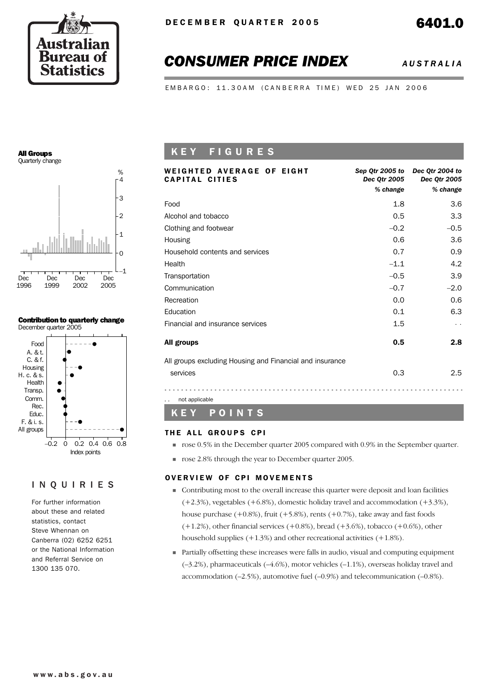

# *CONSUMER PRICE INDEX AUSTRALIA*

EMBARGO: 11.30AM (CANBERRA TIME) WED 25 JAN 2006

#### All Groups Quarterly change



#### Contribution to quarterly change December quarter 2005



#### INQUIRIES

For further information about these and related statistics, contact Steve Whennan on Canberra (02) 6252 6251 or the National Information and Referral Service on 1300 135 070.

## K E Y F I G U R E S

| <b>WEIGHTED AVERAGE OF EIGHT</b><br><b>CAPITAL CITIES</b> | Sep Qtr 2005 to<br>Dec 0tr 2005<br>% change | Dec Otr 2004 to<br>Dec 0tr 2005<br>% change |
|-----------------------------------------------------------|---------------------------------------------|---------------------------------------------|
| Food                                                      | 1.8                                         | 3.6                                         |
| Alcohol and tobacco                                       | 0.5                                         | 3.3                                         |
| Clothing and footwear                                     | $-0.2$                                      | $-0.5$                                      |
| Housing                                                   | 0.6                                         | 3.6                                         |
| Household contents and services                           | 0.7                                         | 0.9                                         |
| Health                                                    | $-1.1$                                      | 4.2                                         |
| Transportation                                            | $-0.5$                                      | 3.9                                         |
| Communication                                             | $-0.7$                                      | $-2.0$                                      |
| Recreation                                                | 0.0                                         | 0.6                                         |
| Education                                                 | 0.1                                         | 6.3                                         |
| Financial and insurance services                          | 1.5                                         |                                             |
| All groups                                                | 0.5                                         | 2.8                                         |
| All groups excluding Housing and Financial and insurance  |                                             |                                             |
| services                                                  | 0.3                                         | 2.5                                         |
| not applicable<br>. .                                     |                                             |                                             |

### K E Y P O I N T S

#### THE ALL GROUPS CPI

- ! rose 0.5% in the December quarter 2005 compared with 0.9% in the September quarter.
- nose 2.8% through the year to December quarter 2005.

#### OVERVIEW OF CPI MOVEMENTS

- ! Contributing most to the overall increase this quarter were deposit and loan facilities  $(+2.3\%)$ , vegetables  $(+6.8\%)$ , domestic holiday travel and accommodation  $(+3.3\%)$ , house purchase  $(+0.8\%)$ , fruit  $(+5.8\%)$ , rents  $(+0.7\%)$ , take away and fast foods  $(+1.2%)$ , other financial services  $(+0.8%)$ , bread  $(+3.6%)$ , tobacco  $(+0.6%)$ , other household supplies (+1.3%) and other recreational activities (+1.8%).
- ! Partially offsetting these increases were falls in audio, visual and computing equipment (–3.2%), pharmaceuticals (–4.6%), motor vehicles (–1.1%), overseas holiday travel and accommodation (–2.5%), automotive fuel (–0.9%) and telecommunication (–0.8%).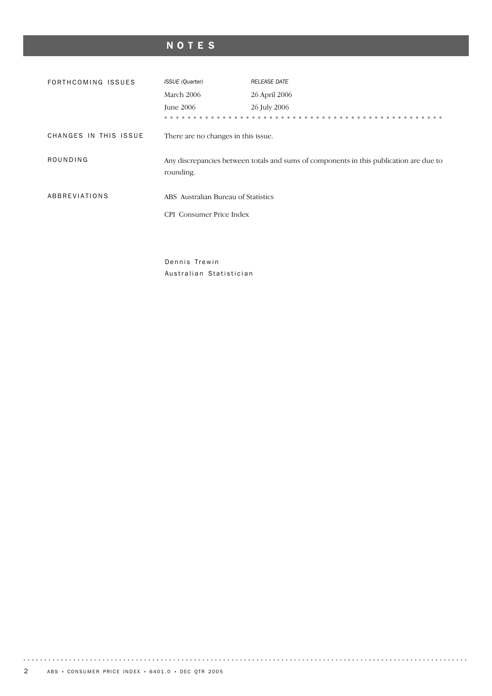# NOTES

| FORTHCOMING ISSUES    | <b>ISSUE</b> (Quarter)              | <b>RELEASE DATE</b>                                                                    |  |  |  |
|-----------------------|-------------------------------------|----------------------------------------------------------------------------------------|--|--|--|
|                       | March 2006                          | 26 April 2006                                                                          |  |  |  |
|                       | June 2006                           | 26 July 2006                                                                           |  |  |  |
|                       |                                     |                                                                                        |  |  |  |
| CHANGES IN THIS ISSUE | There are no changes in this issue. |                                                                                        |  |  |  |
| ROUNDING              | rounding.                           | Any discrepancies between totals and sums of components in this publication are due to |  |  |  |
| ABBREVIATIONS         | ABS Australian Bureau of Statistics |                                                                                        |  |  |  |
|                       | CPI Consumer Price Index            |                                                                                        |  |  |  |

Dennis Trewin Australian Statistician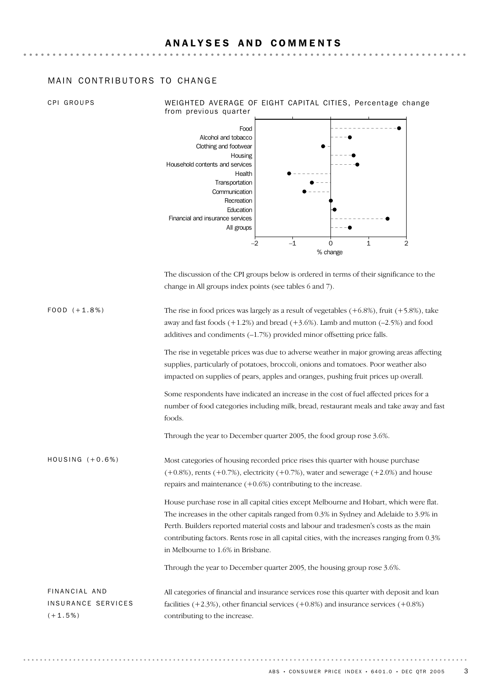### MAIN CONTRIBUTORS TO CHANGE

| CPI GROUPS                                       | WEIGHTED AVERAGE OF EIGHT CAPITAL CITIES, Percentage change<br>from previous quarter                                                                                                                                                                                                                                                                                                                           |  |  |  |  |  |
|--------------------------------------------------|----------------------------------------------------------------------------------------------------------------------------------------------------------------------------------------------------------------------------------------------------------------------------------------------------------------------------------------------------------------------------------------------------------------|--|--|--|--|--|
|                                                  | Food<br>Alcohol and tobacco<br>Clothing and footwear<br>Housing<br>Household contents and services<br>Health<br>Transportation<br>Communication<br>Recreation<br>Education<br>Financial and insurance services<br>All groups<br>$-2$<br>$-1$<br>1<br>2<br>0<br>% change                                                                                                                                        |  |  |  |  |  |
|                                                  | The discussion of the CPI groups below is ordered in terms of their significance to the<br>change in All groups index points (see tables 6 and 7).                                                                                                                                                                                                                                                             |  |  |  |  |  |
| $FOOD (+1.8%)$                                   | The rise in food prices was largely as a result of vegetables $(+6.8\%)$ , fruit $(+5.8\%)$ , take<br>away and fast foods $(+1.2%)$ and bread $(+3.6%)$ . Lamb and mutton $(-2.5%)$ and food<br>additives and condiments (-1.7%) provided minor offsetting price falls.                                                                                                                                        |  |  |  |  |  |
|                                                  | The rise in vegetable prices was due to adverse weather in major growing areas affecting<br>supplies, particularly of potatoes, broccoli, onions and tomatoes. Poor weather also<br>impacted on supplies of pears, apples and oranges, pushing fruit prices up overall.                                                                                                                                        |  |  |  |  |  |
|                                                  | Some respondents have indicated an increase in the cost of fuel affected prices for a<br>number of food categories including milk, bread, restaurant meals and take away and fast<br>foods.                                                                                                                                                                                                                    |  |  |  |  |  |
|                                                  | Through the year to December quarter 2005, the food group rose 3.6%.                                                                                                                                                                                                                                                                                                                                           |  |  |  |  |  |
| HOUSING $(+0.6%)$                                | Most categories of housing recorded price rises this quarter with house purchase<br>$(+0.8\%)$ , rents $(+0.7\%)$ , electricity $(+0.7\%)$ , water and sewerage $(+2.0\%)$ and house<br>repairs and maintenance $(+0.6%)$ contributing to the increase.                                                                                                                                                        |  |  |  |  |  |
|                                                  | House purchase rose in all capital cities except Melbourne and Hobart, which were flat.<br>The increases in the other capitals ranged from 0.3% in Sydney and Adelaide to 3.9% in<br>Perth. Builders reported material costs and labour and tradesmen's costs as the main<br>contributing factors. Rents rose in all capital cities, with the increases ranging from 0.3%<br>in Melbourne to 1.6% in Brisbane. |  |  |  |  |  |
|                                                  | Through the year to December quarter 2005, the housing group rose 3.6%.                                                                                                                                                                                                                                                                                                                                        |  |  |  |  |  |
| FINANCIAL AND<br>INSURANCE SERVICES<br>$(+1.5%)$ | All categories of financial and insurance services rose this quarter with deposit and loan<br>facilities $(+2.3\%)$ , other financial services $(+0.8\%)$ and insurance services $(+0.8\%)$<br>contributing to the increase.                                                                                                                                                                                   |  |  |  |  |  |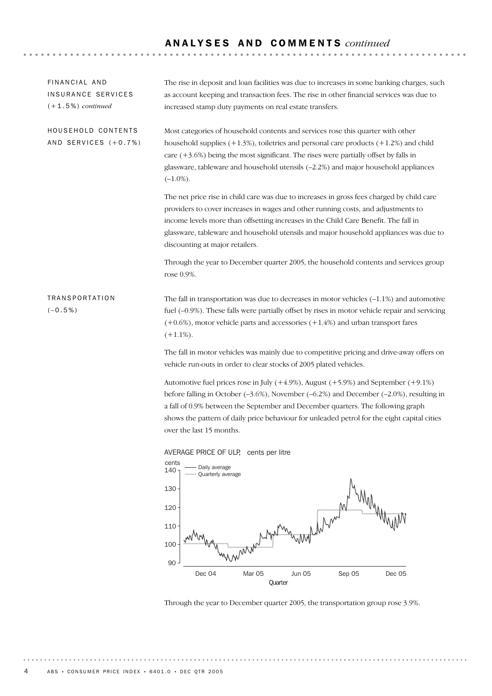## A N A L Y S E S A N D C O M M E N T S *continued*

| FINANCIAL AND<br>INSURANCE SERVICES<br>$(+1.5%) continued$ | The rise in deposit and loan facilities was due to increases in some banking charges, such<br>as account keeping and transaction fees. The rise in other financial services was due to<br>increased stamp duty payments on real estate transfers.                                                                                                                                                              |
|------------------------------------------------------------|----------------------------------------------------------------------------------------------------------------------------------------------------------------------------------------------------------------------------------------------------------------------------------------------------------------------------------------------------------------------------------------------------------------|
| HOUSEHOLD CONTENTS<br>AND SERVICES (+0.7%)                 | Most categories of household contents and services rose this quarter with other<br>household supplies $(+1.3\%)$ , toiletries and personal care products $(+1.2\%)$ and child<br>care $(+3.6%)$ being the most significant. The rises were partially offset by falls in<br>glassware, tableware and household utensils (-2.2%) and major household appliances<br>$(-1.0\%).$                                   |
|                                                            | The net price rise in child care was due to increases in gross fees charged by child care<br>providers to cover increases in wages and other running costs, and adjustments to<br>income levels more than offsetting increases in the Child Care Benefit. The fall in<br>glassware, tableware and household utensils and major household appliances was due to<br>discounting at major retailers.              |
|                                                            | Through the year to December quarter 2005, the household contents and services group<br>rose 0.9%.                                                                                                                                                                                                                                                                                                             |
| <b>TRANSPORTATION</b><br>$(-0.5\%)$                        | The fall in transportation was due to decreases in motor vehicles $(-1.1\%)$ and automotive<br>fuel (-0.9%). These falls were partially offset by rises in motor vehicle repair and servicing<br>$(+0.6%)$ , motor vehicle parts and accessories $(+1.4%)$ and urban transport fares<br>$(+1.1\%).$                                                                                                            |
|                                                            | The fall in motor vehicles was mainly due to competitive pricing and drive-away offers on<br>vehicle run-outs in order to clear stocks of 2005 plated vehicles.                                                                                                                                                                                                                                                |
|                                                            | Automotive fuel prices rose in July $(+4.9\%)$ , August $(+5.9\%)$ and September $(+9.1\%)$<br>before falling in October $(-3.6\%)$ , November $(-6.2\%)$ and December $(-2.0\%)$ , resulting in<br>a fall of 0.9% between the September and December quarters. The following graph<br>shows the pattern of daily price behaviour for unleaded petrol for the eight capital cities<br>over the last 15 months. |
|                                                            | AVERAGE PRICE OF ULP, cents per litre<br>cents<br>- Daily average<br>140                                                                                                                                                                                                                                                                                                                                       |
|                                                            | - Quarterly average<br>M<br>130<br>$\mathbf{A}$                                                                                                                                                                                                                                                                                                                                                                |



Through the year to December quarter 2005, the transportation group rose 3.9%.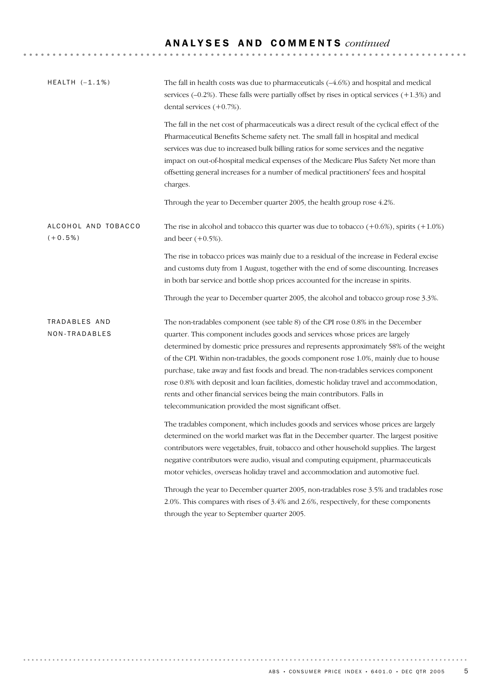# A N A L Y S E S A N D C O M M E N T S *continued*

| HEALTH $(-1.1%)$                 | The fall in health costs was due to pharmaceuticals $(-4.6%)$ and hospital and medical<br>services $(-0.2%)$ . These falls were partially offset by rises in optical services $(+1.3%)$ and<br>dental services $(+0.7%)$ .                                                                                                                                                                                                                                                                                                                                                                                                                                             |  |  |  |  |
|----------------------------------|------------------------------------------------------------------------------------------------------------------------------------------------------------------------------------------------------------------------------------------------------------------------------------------------------------------------------------------------------------------------------------------------------------------------------------------------------------------------------------------------------------------------------------------------------------------------------------------------------------------------------------------------------------------------|--|--|--|--|
|                                  | The fall in the net cost of pharmaceuticals was a direct result of the cyclical effect of the<br>Pharmaceutical Benefits Scheme safety net. The small fall in hospital and medical<br>services was due to increased bulk billing ratios for some services and the negative<br>impact on out-of-hospital medical expenses of the Medicare Plus Safety Net more than<br>offsetting general increases for a number of medical practitioners' fees and hospital<br>charges.                                                                                                                                                                                                |  |  |  |  |
|                                  | Through the year to December quarter 2005, the health group rose 4.2%.                                                                                                                                                                                                                                                                                                                                                                                                                                                                                                                                                                                                 |  |  |  |  |
| ALCOHOL AND TOBACCO<br>$(+0.5%)$ | The rise in alcohol and tobacco this quarter was due to tobacco $(+0.6\%)$ , spirits $(+1.0\%)$<br>and beer $(+0.5\%)$ .                                                                                                                                                                                                                                                                                                                                                                                                                                                                                                                                               |  |  |  |  |
|                                  | The rise in tobacco prices was mainly due to a residual of the increase in Federal excise<br>and customs duty from 1 August, together with the end of some discounting. Increases<br>in both bar service and bottle shop prices accounted for the increase in spirits.                                                                                                                                                                                                                                                                                                                                                                                                 |  |  |  |  |
|                                  | Through the year to December quarter 2005, the alcohol and tobacco group rose 3.3%.                                                                                                                                                                                                                                                                                                                                                                                                                                                                                                                                                                                    |  |  |  |  |
| TRADABLES AND<br>NON-TRADABLES   | The non-tradables component (see table 8) of the CPI rose 0.8% in the December<br>quarter. This component includes goods and services whose prices are largely<br>determined by domestic price pressures and represents approximately 58% of the weight<br>of the CPI. Within non-tradables, the goods component rose 1.0%, mainly due to house<br>purchase, take away and fast foods and bread. The non-tradables services component<br>rose 0.8% with deposit and loan facilities, domestic holiday travel and accommodation,<br>rents and other financial services being the main contributors. Falls in<br>telecommunication provided the most significant offset. |  |  |  |  |
|                                  | The tradables component, which includes goods and services whose prices are largely<br>determined on the world market was flat in the December quarter. The largest positive<br>contributors were vegetables, fruit, tobacco and other household supplies. The largest<br>negative contributors were audio, visual and computing equipment, pharmaceuticals<br>motor vehicles, overseas holiday travel and accommodation and automotive fuel.                                                                                                                                                                                                                          |  |  |  |  |
|                                  | Through the year to December quarter 2005, non-tradables rose 3.5% and tradables rose<br>2.0%. This compares with rises of 3.4% and 2.6%, respectively, for these components<br>through the year to September quarter 2005.                                                                                                                                                                                                                                                                                                                                                                                                                                            |  |  |  |  |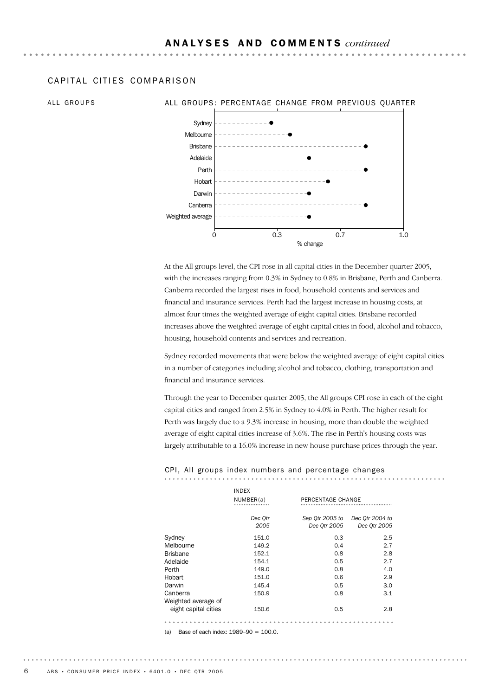#### CAPITAL CITIFS COMPARISON

#### ALL GROUPS ALL GROUPS: PERCENTAGE CHANGE FROM PREVIOUS OUARTER



At the All groups level, the CPI rose in all capital cities in the December quarter 2005, with the increases ranging from 0.3% in Sydney to 0.8% in Brisbane, Perth and Canberra. Canberra recorded the largest rises in food, household contents and services and financial and insurance services. Perth had the largest increase in housing costs, at almost four times the weighted average of eight capital cities. Brisbane recorded increases above the weighted average of eight capital cities in food, alcohol and tobacco, housing, household contents and services and recreation.

Sydney recorded movements that were below the weighted average of eight capital cities in a number of categories including alcohol and tobacco, clothing, transportation and financial and insurance services.

Through the year to December quarter 2005, the All groups CPI rose in each of the eight capital cities and ranged from 2.5% in Sydney to 4.0% in Perth. The higher result for Perth was largely due to a 9.3% increase in housing, more than double the weighted average of eight capital cities increase of 3.6%. The rise in Perth's housing costs was largely attributable to a 16.0% increase in new house purchase prices through the year.

#### CPI, All groups index numbers and percentage changes

|                      | <b>INDEX</b><br>NUMBER(a) | PERCENTAGE CHANGE               |                                 |
|----------------------|---------------------------|---------------------------------|---------------------------------|
|                      | Dec Qtr<br>2005           | Sep Qtr 2005 to<br>Dec 0tr 2005 | Dec Otr 2004 to<br>Dec 0tr 2005 |
|                      |                           |                                 |                                 |
| Sydney               | 151.0                     | 0.3                             | 2.5                             |
| Melbourne            | 149.2                     | 0.4                             | 2.7                             |
| <b>Brisbane</b>      | 152.1                     | 0.8                             | 2.8                             |
| Adelaide             | 154.1                     | 0.5                             | 2.7                             |
| Perth                | 149.0                     | 0.8                             | 4.0                             |
| Hobart               | 151.0                     | 0.6                             | 2.9                             |
| Darwin               | 145.4                     | 0.5                             | 3.0                             |
| Canberra             | 150.9                     | 0.8                             | 3.1                             |
| Weighted average of  |                           |                                 |                                 |
| eight capital cities | 150.6                     | 0.5                             | 2.8                             |
|                      |                           |                                 |                                 |

(a) Base of each index:  $1989 - 90 = 100.0$ .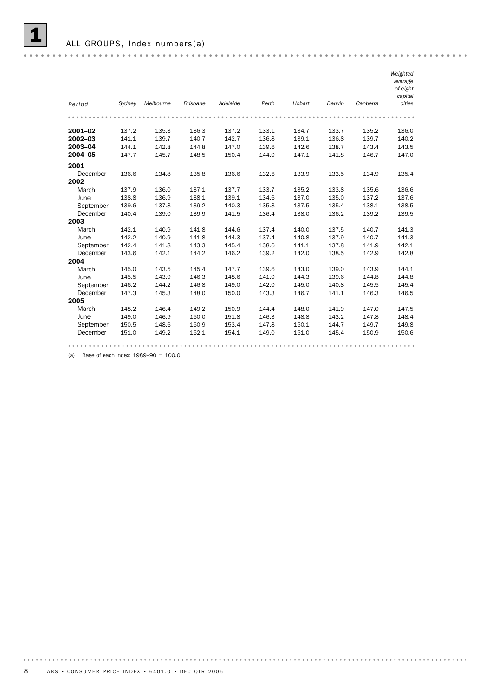

ALL GROUPS, Index numbers(a)

|           |        |           |                 |          |       |        |        |                | Weighted          |
|-----------|--------|-----------|-----------------|----------|-------|--------|--------|----------------|-------------------|
|           |        |           |                 |          |       |        |        |                | average           |
|           |        |           |                 |          |       |        |        |                | of eight          |
|           |        |           | <b>Brisbane</b> | Adelaide | Perth | Hobart |        | Canberra       | capital<br>cities |
| Period    | Sydney | Melbourne |                 |          |       |        | Darwin |                |                   |
|           |        |           |                 |          |       |        |        |                |                   |
| 2001-02   | 137.2  | 135.3     | 136.3           | 137.2    | 133.1 | 134.7  | 133.7  | 135.2          | 136.0             |
| 2002-03   | 141.1  | 139.7     | 140.7           | 142.7    | 136.8 | 139.1  | 136.8  | 139.7          | 140.2             |
| 2003-04   | 144.1  | 142.8     | 144.8           | 147.0    | 139.6 | 142.6  | 138.7  | 143.4          | 143.5             |
| 2004-05   | 147.7  | 145.7     | 148.5           | 150.4    | 144.0 | 147.1  | 141.8  | 146.7          | 147.0             |
| 2001      |        |           |                 |          |       |        |        |                |                   |
| December  | 136.6  | 134.8     | 135.8           | 136.6    | 132.6 | 133.9  | 133.5  | 134.9          | 135.4             |
| 2002      |        |           |                 |          |       |        |        |                |                   |
| March     | 137.9  | 136.0     | 137.1           | 137.7    | 133.7 | 135.2  | 133.8  | 135.6          | 136.6             |
| June      | 138.8  | 136.9     | 138.1           | 139.1    | 134.6 | 137.0  | 135.0  | 137.2          | 137.6             |
| September | 139.6  | 137.8     | 139.2           | 140.3    | 135.8 | 137.5  | 135.4  | 138.1          | 138.5             |
| December  | 140.4  | 139.0     | 139.9           | 141.5    | 136.4 | 138.0  | 136.2  | 139.2          | 139.5             |
| 2003      |        |           |                 |          |       |        |        |                |                   |
| March     | 142.1  | 140.9     | 141.8           | 144.6    | 137.4 | 140.0  | 137.5  | 140.7          | 141.3             |
| June      | 142.2  | 140.9     | 141.8           | 144.3    | 137.4 | 140.8  | 137.9  | 140.7          | 141.3             |
| September | 142.4  | 141.8     | 143.3           | 145.4    | 138.6 | 141.1  | 137.8  | 141.9          | 142.1             |
| December  | 143.6  | 142.1     | 144.2           | 146.2    | 139.2 | 142.0  | 138.5  | 142.9          | 142.8             |
| 2004      |        |           |                 |          |       |        |        |                |                   |
| March     | 145.0  | 143.5     | 145.4           | 147.7    | 139.6 | 143.0  | 139.0  | 143.9          | 144.1             |
| June      | 145.5  | 143.9     | 146.3           | 148.6    | 141.0 | 144.3  | 139.6  | 144.8          | 144.8             |
| September | 146.2  | 144.2     | 146.8           | 149.0    | 142.0 | 145.0  | 140.8  | 145.5          | 145.4             |
| December  | 147.3  | 145.3     | 148.0           | 150.0    | 143.3 | 146.7  | 141.1  | 146.3          | 146.5             |
| 2005      |        |           |                 |          |       |        |        |                |                   |
| March     | 148.2  | 146.4     | 149.2           | 150.9    | 144.4 | 148.0  | 141.9  | 147.0          | 147.5             |
| June      | 149.0  | 146.9     | 150.0           | 151.8    | 146.3 | 148.8  | 143.2  | 147.8          | 148.4             |
| September | 150.5  | 148.6     | 150.9           | 153.4    | 147.8 | 150.1  | 144.7  | 149.7          | 149.8             |
| December  | 151.0  | 149.2     | 152.1           | 154.1    | 149.0 | 151.0  | 145.4  | 150.9          | 150.6             |
|           |        |           |                 |          |       |        |        | $\bullet$<br>٠ | $- -$             |

(a) Base of each index:  $1989-90 = 100.0$ .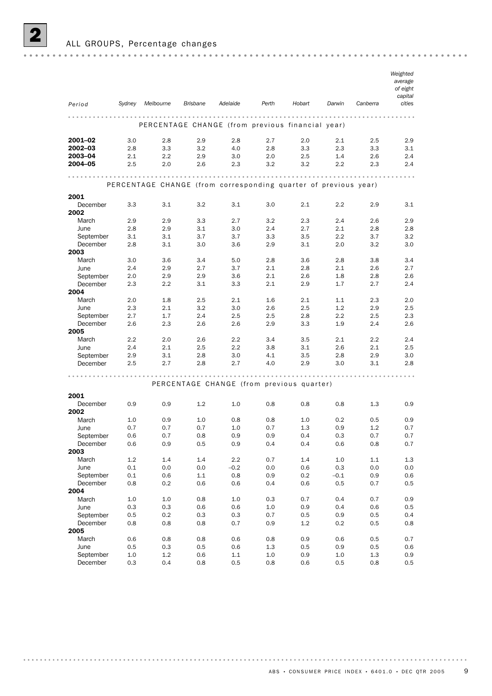

#### ALL GROUPS, Percentage changes

|                       |            |                                                                 |                 |                                           |            |            |            |                  | Weighted<br>average<br>of eight<br>capital |
|-----------------------|------------|-----------------------------------------------------------------|-----------------|-------------------------------------------|------------|------------|------------|------------------|--------------------------------------------|
| Period                | Sydney     | Melbourne                                                       | <b>Brisbane</b> | Adelaide                                  | Perth      | Hobart     | Darwin     | Canberra         | cities                                     |
|                       |            | PERCENTAGE CHANGE (from previous financial year)                |                 |                                           |            |            |            |                  |                                            |
| 2001-02               | 3.0        | 2.8                                                             | 2.9             | 2.8                                       | 2.7        | 2.0        | 2.1        | 2.5              | 2.9                                        |
| 2002-03               | 2.8        | 3.3                                                             | 3.2             | 4.0                                       | 2.8        | 3.3        | 2.3        | 3.3              | 3.1                                        |
| 2003-04<br>2004-05    | 2.1<br>2.5 | 2.2<br>2.0                                                      | 2.9<br>2.6      | 3.0<br>2.3                                | 2.0<br>3.2 | 2.5<br>3.2 | 1.4<br>2.2 | 2.6<br>2.3       | 2.4<br>2.4                                 |
|                       |            |                                                                 |                 |                                           |            |            |            |                  | $\cdots$                                   |
|                       |            | PERCENTAGE CHANGE (from corresponding quarter of previous year) |                 |                                           |            |            |            |                  |                                            |
| 2001                  |            |                                                                 |                 |                                           |            |            |            |                  |                                            |
| December              | 3.3        | 3.1                                                             | 3.2             | 3.1                                       | 3.0        | 2.1        | 2.2        | 2.9              | 3.1                                        |
| 2002<br>March         | 2.9        | 2.9                                                             | 3.3             | 2.7                                       | 3.2        | 2.3        | 2.4        | 2.6              | 2.9                                        |
| June                  | 2.8        | 2.9                                                             | 3.1             | 3.0                                       | 2.4        | 2.7        | 2.1        | 2.8              | 2.8                                        |
| September             | 3.1        | 3.1                                                             | 3.7             | 3.7                                       | 3.3        | 3.5        | 2.2        | 3.7              | 3.2                                        |
| December              | 2.8        | 3.1                                                             | 3.0             | 3.6                                       | 2.9        | 3.1        | 2.0        | 3.2              | 3.0                                        |
| 2003                  |            |                                                                 |                 |                                           |            |            |            |                  |                                            |
| March                 | 3.0        | 3.6                                                             | 3.4             | 5.0                                       | 2.8        | 3.6        | 2.8        | 3.8              | 3.4                                        |
| June                  | 2.4        | 2.9                                                             | 2.7<br>2.9      | 3.7<br>3.6                                | 2.1<br>2.1 | 2.8<br>2.6 | 2.1<br>1.8 | 2.6              | 2.7<br>2.6                                 |
| September<br>December | 2.0<br>2.3 | 2.9<br>2.2                                                      | 3.1             | 3.3                                       | 2.1        | 2.9        | 1.7        | 2.8<br>2.7       | 2.4                                        |
| 2004                  |            |                                                                 |                 |                                           |            |            |            |                  |                                            |
| March                 | 2.0        | 1.8                                                             | 2.5             | 2.1                                       | 1.6        | 2.1        | 1.1        | 2.3              | 2.0                                        |
| June                  | 2.3        | 2.1                                                             | 3.2             | 3.0                                       | 2.6        | 2.5        | 1.2        | 2.9              | 2.5                                        |
| September             | 2.7        | 1.7                                                             | 2.4             | 2.5                                       | 2.5        | 2.8        | $2.2\,$    | 2.5              | 2.3                                        |
| December              | 2.6        | 2.3                                                             | 2.6             | 2.6                                       | 2.9        | 3.3        | 1.9        | 2.4              | 2.6                                        |
| 2005                  |            |                                                                 |                 |                                           |            |            |            |                  |                                            |
| March                 | 2.2        | 2.0                                                             | 2.6             | 2.2                                       | 3.4        | 3.5        | 2.1        | $2.2\phantom{0}$ | 2.4                                        |
| June<br>September     | 2.4<br>2.9 | 2.1<br>3.1                                                      | 2.5<br>2.8      | 2.2<br>3.0                                | 3.8<br>4.1 | 3.1<br>3.5 | 2.6<br>2.8 | 2.1<br>2.9       | 2.5<br>3.0                                 |
| December              | 2.5        | 2.7                                                             | 2.8             | 2.7                                       | 4.0        | 2.9        | 3.0        | 3.1              | 2.8                                        |
|                       |            |                                                                 |                 |                                           |            |            |            |                  |                                            |
|                       |            |                                                                 |                 | PERCENTAGE CHANGE (from previous quarter) |            |            |            |                  |                                            |
| 2001                  |            |                                                                 |                 |                                           |            |            |            |                  |                                            |
| December<br>2002      | 0.9        | 0.9                                                             | 1.2             | 1.0                                       | 0.8        | 0.8        | 0.8        | 1.3              | 0.9                                        |
| March                 | 1.0        | 0.9                                                             | 1.0             | 0.8                                       | 0.8        | 1.0        | 0.2        | 0.5              | 0.9                                        |
| June                  | 0.7        | 0.7                                                             | 0.7             | 1.0                                       | 0.7        | 1.3        | 0.9        | 1.2              | 0.7                                        |
| September             | 0.6        | 0.7                                                             | 0.8             | 0.9                                       | 0.9        | 0.4        | 0.3        | 0.7              | 0.7                                        |
| December<br>2003      | 0.6        | 0.9                                                             | 0.5             | 0.9                                       | 0.4        | 0.4        | 0.6        | 0.8              | 0.7                                        |
| March                 | 1.2        | 1.4                                                             | 1.4             | 2.2                                       | 0.7        | 1.4        | $1.0\,$    | $1.1\,$          | $1.3\,$                                    |
| June                  | 0.1        | 0.0                                                             | 0.0             | $-0.2$                                    | 0.0        | 0.6        | 0.3        | 0.0              | 0.0                                        |
| September             | 0.1        | 0.6                                                             | $1.1\,$         | 0.8                                       | 0.9        | $0.2\,$    | $-0.1$     | 0.9              | 0.6                                        |
| December              | 0.8        | 0.2                                                             | 0.6             | 0.6                                       | 0.4        | 0.6        | 0.5        | 0.7              | 0.5                                        |
| 2004                  |            |                                                                 |                 |                                           |            |            |            |                  |                                            |
| March                 | $1.0\,$    | $1.0\,$                                                         | 0.8             | $1.0\,$                                   | 0.3        | 0.7        | 0.4        | 0.7              | 0.9                                        |
| June                  | 0.3        | 0.3                                                             | 0.6             | 0.6                                       | 1.0        | 0.9        | 0.4        | 0.6              | 0.5                                        |
| September             | 0.5        | $0.2\,$                                                         | 0.3             | 0.3                                       | 0.7        | 0.5        | 0.9        | 0.5              | 0.4                                        |
| December<br>2005      | 0.8        | 0.8                                                             | 0.8             | 0.7                                       | 0.9        | 1.2        | 0.2        | 0.5              | 0.8                                        |
| March                 | 0.6        | 0.8                                                             | 0.8             | 0.6                                       | 0.8        | 0.9        | 0.6        | 0.5              | 0.7                                        |
| June                  | 0.5        | 0.3                                                             | 0.5             | 0.6                                       | 1.3        | 0.5        | 0.9        | 0.5              | 0.6                                        |
| September             | 1.0        | 1.2                                                             | 0.6             | 1.1                                       | 1.0        | 0.9        | 1.0        | 1.3              | 0.9                                        |

December 0.3 0.4 0.8 0.5 0.8 0.6 0.5 0.8 0.5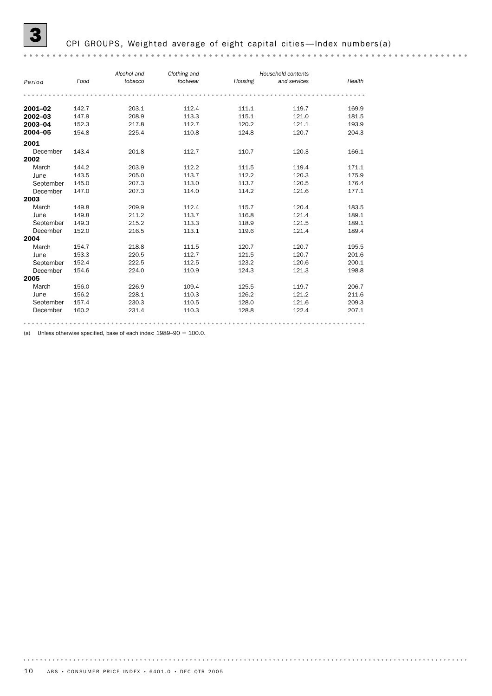#### CPI GROUPS, Weighted average of eight capital cities-Index numbers(a)

#### *Alcohol and Clothing and Household contents Period Food tobacco Housing and services footwear Health* **2001–02** 142.7 203.1 112.4 111.1 119.7 169.9 2002–03 147.9 208.9 113.3 115.1 121.0 181.5<br>2003–04 152.3 217.8 112.7 120.2 121.1 193.9 **2003–04** 152.3 217.8 112.7 120.2 121.1 193.9 **2004–05** 154.8 225.4 110.8 124.8 120.7 204.3 2001 ---<br>December 143.4 201.8 112.7 110.7 120.3 166.1 **2002**<br>March March 144.2 203.9 112.2 111.5 119.4 171.1 June 143.5 205.0 113.7 112.2 120.3 175.9 September 145.0 207.3 113.0 113.7 120.5 176.4 December 147.0 207.3 114.0 114.2 121.6 177.1 2003 March 149.8 209.9 112.4 115.7 120.4 183.5 June 149.8 211.2 113.7 116.8 121.4 189.1 September 149.3 215.2 113.3 118.9 121.5 189.1 December 152.0 216.5 113.1 119.6 121.4 189.4 2004 March 154.7 218.8 111.5 120.7 120.7 120.7 195.5 June 153.3 220.5 112.7 121.5 120.7 201.6 September 152.4 222.5 112.5 123.2 120.6 200.1 December 154.6 224.0 110.9 124.3 121.3 198.8 2005 March 156.0 226.9 109.4 125.5 119.7 206.7 June 156.2 228.1 110.3 126.2 121.2 211.6 September 157.4 230.3 110.5 128.0 121.6 209.3 December 160.2 231.4 110.3 128.8 122.4 207.1

(a) Unless otherwise specified, base of each index: 1989–90 = 100.0.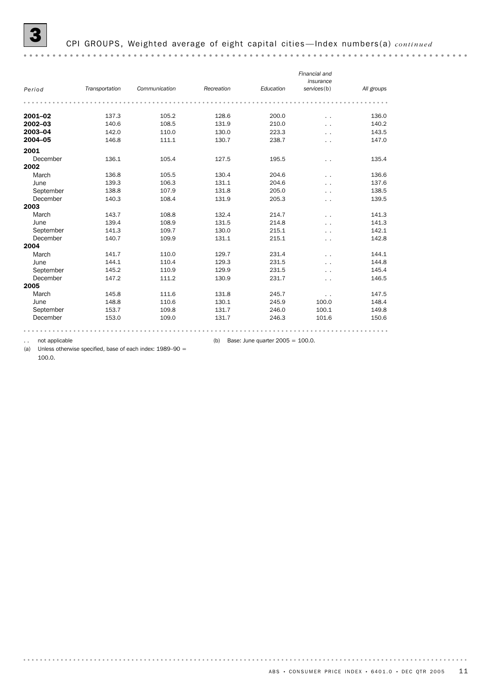|           |                |               |            |           | Financial and<br>insurance |            |
|-----------|----------------|---------------|------------|-----------|----------------------------|------------|
| Period    | Transportation | Communication | Recreation | Education | services(b)                | All groups |
|           |                |               |            |           |                            |            |
| 2001-02   | 137.3          | 105.2         | 128.6      | 200.0     | . .                        | 136.0      |
| 2002-03   | 140.6          | 108.5         | 131.9      | 210.0     | . .                        | 140.2      |
| 2003-04   | 142.0          | 110.0         | 130.0      | 223.3     | . .                        | 143.5      |
| 2004-05   | 146.8          | 111.1         | 130.7      | 238.7     | $\ddot{\phantom{0}}$       | 147.0      |
| 2001      |                |               |            |           |                            |            |
| December  | 136.1          | 105.4         | 127.5      | 195.5     | $\ddotsc$                  | 135.4      |
| 2002      |                |               |            |           |                            |            |
| March     | 136.8          | 105.5         | 130.4      | 204.6     | . .                        | 136.6      |
| June      | 139.3          | 106.3         | 131.1      | 204.6     | $\ddotsc$                  | 137.6      |
| September | 138.8          | 107.9         | 131.8      | 205.0     | . .                        | 138.5      |
| December  | 140.3          | 108.4         | 131.9      | 205.3     | $\ddotsc$                  | 139.5      |
| 2003      |                |               |            |           |                            |            |
| March     | 143.7          | 108.8         | 132.4      | 214.7     | . .                        | 141.3      |
| June      | 139.4          | 108.9         | 131.5      | 214.8     | . .                        | 141.3      |
| September | 141.3          | 109.7         | 130.0      | 215.1     | . .                        | 142.1      |
| December  | 140.7          | 109.9         | 131.1      | 215.1     | . .                        | 142.8      |
| 2004      |                |               |            |           |                            |            |
| March     | 141.7          | 110.0         | 129.7      | 231.4     | . .                        | 144.1      |
| June      | 144.1          | 110.4         | 129.3      | 231.5     | . .                        | 144.8      |
| September | 145.2          | 110.9         | 129.9      | 231.5     | . .                        | 145.4      |
| December  | 147.2          | 111.2         | 130.9      | 231.7     | $\ddot{\phantom{1}}$       | 146.5      |
| 2005      |                |               |            |           |                            |            |
| March     | 145.8          | 111.6         | 131.8      | 245.7     | . .                        | 147.5      |
| June      | 148.8          | 110.6         | 130.1      | 245.9     | 100.0                      | 148.4      |
| September | 153.7          | 109.8         | 131.7      | 246.0     | 100.1                      | 149.8      |
| December  | 153.0          | 109.0         | 131.7      | 246.3     | 101.6                      | 150.6      |
|           |                |               |            |           |                            |            |

.. not applicable  $\qquad \qquad$  (b) Base: June quarter 2005 = 100.0.

(a) Unless otherwise specified, base of each index: 1989–90 = 100.0.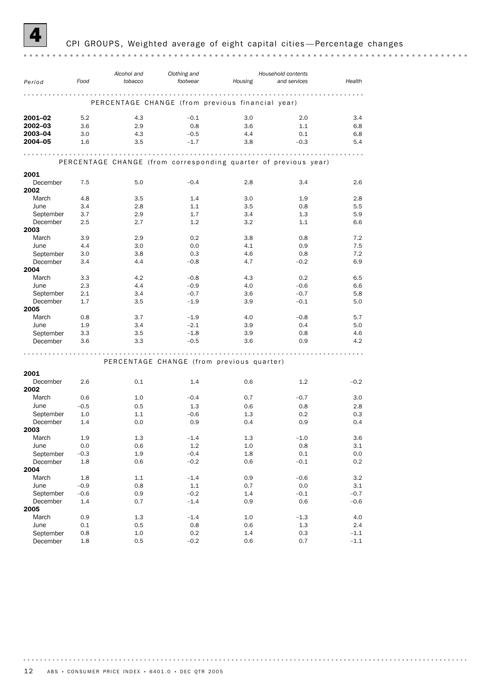

#### 4 CPI GROUPS, Weighted average of eight capital cities —Percentage changes

| Period                | Food          | Alcohol and<br>tobacco                                          | Clothing and<br>footwear | Housing                                   | Household contents<br>and services | Health           |
|-----------------------|---------------|-----------------------------------------------------------------|--------------------------|-------------------------------------------|------------------------------------|------------------|
|                       |               |                                                                 |                          |                                           |                                    |                  |
|                       |               |                                                                 |                          |                                           |                                    |                  |
|                       |               | PERCENTAGE CHANGE (from previous financial year)                |                          |                                           |                                    |                  |
| 2001-02               | 5.2           | 4.3                                                             | $-0.1$                   | 3.0                                       | 2.0                                | 3.4              |
| 2002-03               | 3.6           | 2.9                                                             | 0.8                      | 3.6                                       | 1.1                                | 6.8              |
| 2003-04               | 3.0           | 4.3                                                             | $-0.5$                   | 4.4                                       | 0.1                                | 6.8              |
| 2004-05               | 1.6           | 3.5                                                             | $-1.7$                   | 3.8                                       | $-0.3$                             | 5.4              |
|                       |               |                                                                 |                          |                                           |                                    |                  |
|                       |               | PERCENTAGE CHANGE (from corresponding quarter of previous year) |                          |                                           |                                    |                  |
| 2001                  |               |                                                                 |                          |                                           |                                    |                  |
| December              | 7.5           | 5.0                                                             | $-0.4$                   | 2.8                                       | 3.4                                | 2.6              |
| 2002                  |               |                                                                 |                          |                                           |                                    |                  |
| March                 | 4.8           | 3.5                                                             | 1.4                      | 3.0                                       | 1.9                                | 2.8              |
| June                  | 3.4           | 2.8                                                             | 1.1                      | 3.5                                       | 0.8                                | 5.5              |
| September             | 3.7           | 2.9                                                             | 1.7                      | 3.4                                       | 1.3                                | 5.9              |
| December              | 2.5           | 2.7                                                             | 1.2                      | 3.2                                       | 1.1                                | 6.6              |
| 2003                  |               |                                                                 |                          |                                           |                                    |                  |
| March                 | 3.9           | 2.9                                                             | 0.2                      | 3.8                                       | 0.8                                | 7.2              |
| June                  | 4.4           | 3.0                                                             | 0.0                      | 4.1                                       | 0.9                                | 7.5              |
| September             | 3.0           | 3.8                                                             | 0.3                      | 4.6                                       | 0.8                                | 7.2              |
| December              | 3.4           | 4.4                                                             | $-0.8$                   | 4.7                                       | $-0.2$                             | 6.9              |
| 2004                  |               |                                                                 |                          |                                           |                                    |                  |
| March                 | 3.3           | 4.2                                                             | $-0.8$                   | 4.3                                       | 0.2                                | 6.5              |
| June                  | 2.3           | 4.4                                                             | $-0.9$                   | 4.0                                       | $-0.6$                             | 6.6              |
| September             | 2.1           | 3.4                                                             | $-0.7$                   | 3.6                                       | $-0.7$                             | 5.8              |
| December              | 1.7           | 3.5                                                             | $-1.9$                   | 3.9                                       | $-0.1$                             | 5.0              |
| 2005                  |               |                                                                 |                          |                                           |                                    |                  |
| March                 | 0.8           | 3.7                                                             | $-1.9$                   | 4.0                                       | $-0.8$                             | 5.7              |
| June                  | 1.9<br>3.3    | 3.4<br>3.5                                                      | $-2.1$<br>$-1.8$         | 3.9<br>3.9                                | 0.4<br>0.8                         | 5.0<br>4.6       |
| September<br>December | 3.6           | 3.3                                                             | $-0.5$                   | 3.6                                       | 0.9                                | 4.2              |
|                       |               |                                                                 |                          |                                           |                                    |                  |
|                       |               |                                                                 |                          |                                           |                                    |                  |
|                       |               |                                                                 |                          | PERCENTAGE CHANGE (from previous quarter) |                                    |                  |
| 2001                  |               |                                                                 |                          |                                           |                                    |                  |
| December              | 2.6           | 0.1                                                             | 1.4                      | 0.6                                       | 1.2                                | $-0.2$           |
| 2002                  |               |                                                                 |                          |                                           |                                    |                  |
| March                 | 0.6           | 1.0                                                             | $-0.4$                   | 0.7                                       | $-0.7$                             | 3.0              |
| June                  | $-0.5$        | 0.5                                                             | 1.3                      | 0.6                                       | 0.8                                | 2.8              |
| September             | 1.0           | 1.1                                                             | $-0.6$                   | 1.3                                       | 0.2                                | 0.3              |
| December              | 1.4           | 0.0                                                             | 0.9                      | 0.4                                       | 0.9                                | 0.4              |
| 2003                  |               |                                                                 |                          |                                           |                                    |                  |
| March                 | 1.9           | 1.3                                                             | $-1.4$                   | $1.3\,$                                   | $-1.0$                             | 3.6              |
| June                  | $0.0\,$       | 0.6                                                             | 1.2                      | $1.0\,$                                   | 0.8                                | 3.1              |
| September             | $-0.3$        | 1.9                                                             | $-0.4$                   | $1.8\,$                                   | $0.1\,$                            | 0.0              |
| December              | 1.8           | 0.6                                                             | $-0.2$                   | 0.6                                       | $-0.1$                             | 0.2              |
| 2004                  |               |                                                                 |                          |                                           |                                    |                  |
| March                 | $1.8\,$       | $1.1\,$                                                         | $-1.4$                   | 0.9                                       | $-0.6$                             | 3.2              |
| June                  | $-0.9$        | 0.8                                                             | $1.1\,$                  | 0.7<br>1.4                                | 0.0                                | 3.1              |
| September<br>December | $-0.6$<br>1.4 | 0.9<br>0.7                                                      | $-0.2$<br>$-1.4$         | $0.9\,$                                   | $-0.1$<br>0.6                      | $-0.7$<br>$-0.6$ |
| 2005                  |               |                                                                 |                          |                                           |                                    |                  |
| March                 | 0.9           | 1.3                                                             | $-1.4$                   | $1.0\,$                                   | $-1.3$                             | $4.0\,$          |
| June                  | $0.1\,$       | 0.5                                                             | 0.8                      | 0.6                                       | 1.3                                | 2.4              |
| September             | 0.8           | $1.0\,$                                                         | $0.2\,$                  | $1.4\,$                                   | 0.3                                | $-1.1$           |
| December              | $1.8\,$       | 0.5                                                             | $-0.2$                   | 0.6                                       | 0.7                                | $-1.1$           |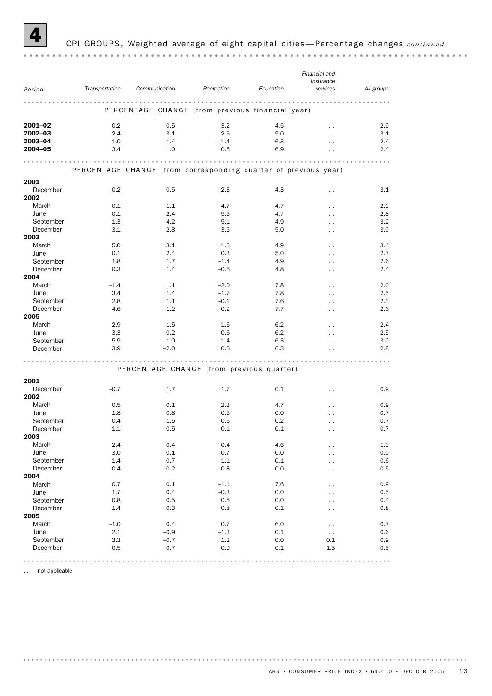

#### 4 CPI GROUPS, Weighted average of eight capital cities —Percentage changes *continued*

|               |                | Communication                                                   | Recreation | Education  | Financial and<br>insurance<br>services |            |
|---------------|----------------|-----------------------------------------------------------------|------------|------------|----------------------------------------|------------|
| Period        | Transportation |                                                                 |            |            |                                        | All groups |
|               |                | PERCENTAGE CHANGE (from previous financial year)                | .          | .          | .                                      |            |
| 2001-02       | 0.2            | 0.5                                                             | 3.2        | 4.5        | $\sim$                                 | 2.9        |
| 2002-03       | 2.4            | 3.1                                                             | 2.6        | 5.0        | $\ddot{\phantom{0}}$                   | 3.1        |
| 2003-04       | 1.0            | 1.4                                                             | $-1.4$     | 6.3        | $\ddot{\phantom{0}}$                   | 2.4        |
| 2004-05       | 3.4            | 1.0                                                             | 0.5        | 6.9        |                                        | 2.4        |
|               |                | PERCENTAGE CHANGE (from corresponding quarter of previous year) |            |            |                                        |            |
| 2001          |                |                                                                 |            |            |                                        |            |
| December      | $-0.2$         | 0.5                                                             | 2.3        | 4.3        | $\ddot{\phantom{0}}$                   | 3.1        |
| 2002<br>March | 0.1            | 1.1                                                             | 4.7        |            |                                        | 2.9        |
| June          | $-0.1$         | 2.4                                                             | 5.5        | 4.7<br>4.7 | $\cdot$ .                              | 2.8        |
| September     | 1.3            | 4.2                                                             | 5.1        | 4.9        |                                        | 3.2        |
| December      | 3.1            | 2.8                                                             | 3.5        | 5.0        |                                        | 3.0        |
| 2003          |                |                                                                 |            |            |                                        |            |
| March         | 5.0            | 3.1                                                             | 1.5        | 4.9        |                                        | 3.4        |
| June          | 0.1            | 2.4                                                             | 0.3        | 5.0        | $\cdot$ .                              | 2.7        |
| September     | 1.8            | 1.7                                                             | $-1.4$     | 4.9        |                                        | 2.6        |
| December      | 0.3            | 1.4                                                             | $-0.6$     | 4.8        |                                        | 2.4        |
| 2004          |                |                                                                 |            |            |                                        |            |
| March         | $-1.4$         | 1.1                                                             | $-2.0$     | 7.8        | $\ddotsc$                              | 2.0        |
| June          | 3.4            | 1.4                                                             | $-1.7$     | 7.8        |                                        | 2.5        |
| September     | 2.8            | 1.1                                                             | $-0.1$     | 7.6        |                                        | 2.3        |
| December      | 4.6            | 1.2                                                             | $-0.2$     | 7.7        |                                        | 2.6        |
| 2005          |                |                                                                 |            |            |                                        |            |
| March         | 2.9            | 1.5                                                             | 1.6        | 6.2        | $\ddotsc$                              | 2.4        |
| June          | 3.3            | 0.2                                                             | 0.6        | 6.2        |                                        | 2.5        |
| September     | 5.9            | $-1.0$                                                          | 1.4        | 6.3        |                                        | 3.0        |
| December      | 3.9            | $-2.0$                                                          | 0.6        | 6.3        |                                        | 2.8        |
|               |                | PERCENTAGE CHANGE (from previous quarter)                       |            |            |                                        |            |
| 2001          |                |                                                                 |            |            |                                        |            |
| December      | $-0.7$         | 1.7                                                             | 1.7        | 0.1        | $\cdot$ .                              | 0.9        |
| 2002          |                |                                                                 |            |            |                                        |            |
| March         | 0.5            | 0.1                                                             | 2.3        | 4.7        |                                        | 0.9        |
| June          | 1.8            | 0.8                                                             | 0.5        | 0.0        |                                        | 0.7        |
| September     | $-0.4$         | 1.5                                                             | 0.5        | 0.2        |                                        | 0.7        |
| December      | 1.1            | 0.5                                                             | 0.1        | 0.1        | $\cdot$ .                              | 0.7        |
| 2003          |                |                                                                 |            |            |                                        |            |
| March         | 2.4            | 0.4                                                             | 0.4        | 4.6        |                                        | $1.3\,$    |
| June          | $-3.0$         | 0.1                                                             | $-0.7$     | 0.0        |                                        | 0.0        |
| September     | 1.4            | 0.7                                                             | $-1.1$     | 0.1        |                                        | 0.6        |
| December      | $-0.4$         | 0.2                                                             | 0.8        | 0.0        | . .                                    | 0.5        |
| 2004          |                |                                                                 |            |            |                                        |            |
| March         | 0.7            | 0.1                                                             | $-1.1$     | 7.6        |                                        | 0.9        |
| June          | 1.7            | 0.4                                                             | $-0.3$     | 0.0        |                                        | 0.5        |
| September     | 0.8            | 0.5                                                             | 0.5        | 0.0        |                                        | 0.4        |
| December      | 1.4            | 0.3                                                             | 0.8        | 0.1        | $\cdot$ .                              | 0.8        |
| 2005          |                |                                                                 |            |            |                                        |            |
| March         | $-1.0$         | 0.4                                                             | 0.7        | 6.0        |                                        | 0.7        |
| June          | 2.1            | $-0.9$                                                          | $-1.3$     | 0.1        | $\ddotsc$                              | 0.6        |
| September     | 3.3            | $-0.7$                                                          | 1.2        | 0.0        | 0.1                                    | 0.9        |
| December      | $-0.5$         | $-0.7$                                                          | 0.0        | 0.1        | 1.5                                    | 0.5        |
|               |                |                                                                 |            |            |                                        |            |

. . not applicable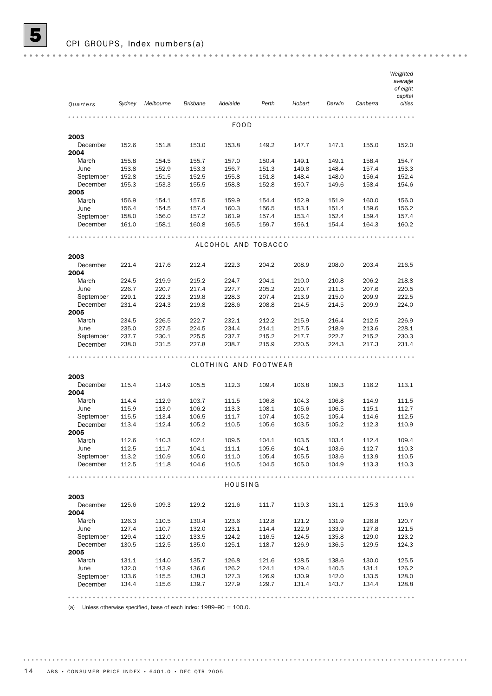|                       |                |                |                 |                       |                |                |                |                | Weighted            |
|-----------------------|----------------|----------------|-----------------|-----------------------|----------------|----------------|----------------|----------------|---------------------|
|                       |                |                |                 |                       |                |                |                |                | average<br>of eight |
|                       |                |                |                 |                       |                |                |                |                | capital             |
| Quarters              | Sydney         | Melbourne      | <b>Brisbane</b> | Adelaide              | Perth          | Hobart         | Darwin         | Canberra       | cities              |
|                       |                |                |                 |                       |                |                |                |                |                     |
|                       |                |                |                 |                       |                |                |                |                |                     |
|                       |                |                |                 | FOOD                  |                |                |                |                |                     |
| 2003                  |                |                |                 |                       |                |                |                |                |                     |
| December              | 152.6          | 151.8          | 153.0           | 153.8                 | 149.2          | 147.7          | 147.1          | 155.0          | 152.0               |
| 2004                  |                |                |                 |                       |                |                |                |                |                     |
| March                 | 155.8          | 154.5          | 155.7           | 157.0                 | 150.4          | 149.1          | 149.1          | 158.4          | 154.7               |
| June                  | 153.8          | 152.9          | 153.3           | 156.7                 | 151.3          | 149.8          | 148.4          | 157.4          | 153.3               |
| September             | 152.8          | 151.5          | 152.5           | 155.8                 | 151.8          | 148.4          | 148.0          | 156.4          | 152.4               |
| December              | 155.3          | 153.3          | 155.5           | 158.8                 | 152.8          | 150.7          | 149.6          | 158.4          | 154.6               |
| 2005                  |                |                |                 |                       |                |                |                |                |                     |
| March                 | 156.9          | 154.1          | 157.5           | 159.9                 | 154.4          | 152.9          | 151.9          | 160.0          | 156.0               |
| June                  | 156.4          | 154.5          | 157.4           | 160.3                 | 156.5          | 153.1          | 151.4          | 159.6          | 156.2               |
| September<br>December | 158.0<br>161.0 | 156.0<br>158.1 | 157.2<br>160.8  | 161.9<br>165.5        | 157.4<br>159.7 | 153.4<br>156.1 | 152.4<br>154.4 | 159.4<br>164.3 | 157.4<br>160.2      |
|                       |                |                |                 |                       |                |                |                |                |                     |
|                       |                |                |                 |                       |                |                |                |                |                     |
|                       |                |                |                 | ALCOHOL AND TOBACCO   |                |                |                |                |                     |
| 2003                  |                |                |                 |                       |                |                |                |                |                     |
| December              | 221.4          | 217.6          | 212.4           | 222.3                 | 204.2          | 208.9          | 208.0          | 203.4          | 216.5               |
| 2004                  |                |                |                 |                       |                |                |                |                |                     |
| March                 | 224.5          | 219.9          | 215.2           | 224.7                 | 204.1          | 210.0          | 210.8          | 206.2          | 218.8               |
| June                  | 226.7          | 220.7          | 217.4           | 227.7                 | 205.2          | 210.7          | 211.5          | 207.6          | 220.5               |
| September             | 229.1          | 222.3          | 219.8           | 228.3                 | 207.4          | 213.9          | 215.0          | 209.9          | 222.5               |
| December              | 231.4          | 224.3          | 219.8           | 228.6                 | 208.8          | 214.5          | 214.5          | 209.9          | 224.0               |
| 2005                  |                |                |                 |                       |                |                |                |                |                     |
| March                 | 234.5          | 226.5          | 222.7           | 232.1                 | 212.2          | 215.9          | 216.4          | 212.5          | 226.9               |
| June                  | 235.0          | 227.5          | 224.5           | 234.4                 | 214.1          | 217.5          | 218.9          | 213.6          | 228.1               |
| September             | 237.7          | 230.1          | 225.5           | 237.7                 | 215.2          | 217.7          | 222.7          | 215.2          | 230.3               |
| December              | 238.0          | 231.5          | 227.8           | 238.7                 | 215.9          | 220.5          | 224.3          | 217.3          | 231.4               |
|                       |                |                |                 |                       |                |                |                |                |                     |
|                       |                |                |                 | CLOTHING AND FOOTWEAR |                |                |                |                |                     |
|                       |                |                |                 |                       |                |                |                |                |                     |
| 2003                  |                |                |                 |                       |                |                |                |                |                     |
| December              | 115.4          | 114.9          | 105.5           | 112.3                 | 109.4          | 106.8          | 109.3          | 116.2          | 113.1               |
| 2004                  |                |                |                 |                       |                |                |                |                |                     |
| March                 | 114.4          | 112.9          | 103.7           | 111.5                 | 106.8          | 104.3          | 106.8          | 114.9          | 111.5               |
| June                  | 115.9          | 113.0          | 106.2           | 113.3                 | 108.1          | 105.6          | 106.5          | 115.1          | 112.7               |
| September<br>December | 115.5<br>113.4 | 113.4          | 106.5           | 111.7                 | 107.4          | 105.2          | 105.4          | 114.6          | 112.5               |
| 2005                  |                | 112.4          | 105.2           | 110.5                 | 105.6          | 103.5          | 105.2          | 112.3          | 110.9               |
| March                 | 112.6          | 110.3          | 102.1           | 109.5                 | 104.1          | 103.5          | 103.4          | 112.4          | 109.4               |
| June                  | 112.5          | 111.7          | 104.1           | 111.1                 | 105.6          | 104.1          | 103.6          | 112.7          | 110.3               |
| September             | 113.2          | 110.9          | 105.0           | 111.0                 | 105.4          | 105.5          | 103.6          | 113.9          | 110.5               |
| December              | 112.5          | 111.8          | 104.6           | 110.5                 | 104.5          | 105.0          | 104.9          | 113.3          | 110.3               |
|                       |                |                |                 |                       |                |                |                |                |                     |
|                       |                |                |                 |                       |                |                |                |                |                     |
|                       |                |                |                 | HOUSING               |                |                |                |                |                     |
| 2003                  |                |                |                 |                       |                |                |                |                |                     |
| December              | 125.6          | 109.3          | 129.2           | 121.6                 | 111.7          | 119.3          | 131.1          | 125.3          | 119.6               |
| 2004                  |                |                |                 |                       |                |                |                |                |                     |
| March                 | 126.3          | 110.5          | 130.4           | 123.6                 | 112.8          | 121.2          | 131.9          | 126.8          | 120.7               |
| June                  | 127.4          | 110.7          | 132.0           | 123.1                 | 114.4          | 122.9          | 133.9          | 127.8          | 121.5               |
| September             | 129.4          | 112.0          | 133.5           | 124.2                 | 116.5          | 124.5          | 135.8          | 129.0          | 123.2               |
| December              | 130.5          | 112.5          | 135.0           | 125.1                 | 118.7          | 126.9          | 136.5          | 129.5          | 124.3               |
| 2005                  |                |                |                 |                       |                |                |                |                |                     |
| March                 | 131.1          | 114.0          | 135.7           | 126.8                 | 121.6          | 128.5          | 138.6          | 130.0          | 125.5               |
| June                  | 132.0          | 113.9          | 136.6           | 126.2                 | 124.1          | 129.4          | 140.5          | 131.1          | 126.2               |
| September             | 133.6          | 115.5          | 138.3           | 127.3                 | 126.9          | 130.9          | 142.0          | 133.5          | 128.0               |
| December              | 134.4          | 115.6          | 139.7           | 127.9                 | 129.7          | 131.4          | 143.7          | 134.4          | 128.8               |
|                       |                |                |                 |                       |                |                |                |                |                     |
|                       |                |                |                 |                       |                |                |                |                |                     |

(a) Unless otherwise specified, base of each index:  $1989-90 = 100.0$ .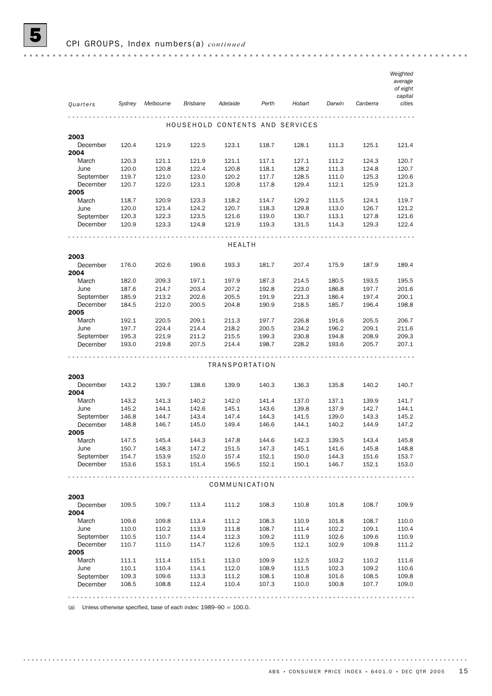|                       |                |                |                 |                |                |                                 |                |                | Weighted<br>average<br>of eight<br>capital |
|-----------------------|----------------|----------------|-----------------|----------------|----------------|---------------------------------|----------------|----------------|--------------------------------------------|
| Quarters              | Sydney         | Melbourne      | <b>Brisbane</b> | Adelaide       | Perth          | Hobart                          | Darwin         | Canberra       | cities                                     |
|                       |                |                |                 |                |                |                                 |                |                |                                            |
|                       |                |                |                 |                |                | HOUSEHOLD CONTENTS AND SERVICES |                |                |                                            |
| 2003<br>December      | 120.4          | 121.9          | 122.5           | 123.1          | 118.7          | 128.1                           | 111.3          | 125.1          | 121.4                                      |
| 2004                  |                |                |                 |                |                |                                 |                |                |                                            |
| March                 | 120.3          | 121.1          | 121.9           | 121.1          | 117.1          | 127.1                           | 111.2          | 124.3          | 120.7                                      |
| June                  | 120.0          | 120.8          | 122.4           | 120.8          | 118.1          | 128.2                           | 111.3          | 124.8          | 120.7                                      |
| September<br>December | 119.7<br>120.7 | 121.0<br>122.0 | 123.0<br>123.1  | 120.2<br>120.8 | 117.7<br>117.8 | 128.5<br>129.4                  | 111.0<br>112.1 | 125.3<br>125.9 | 120.6<br>121.3                             |
| 2005                  |                |                |                 |                |                |                                 |                |                |                                            |
| March                 | 118.7          | 120.9          | 123.3           | 118.2          | 114.7          | 129.2                           | 111.5          | 124.1          | 119.7                                      |
| June                  | 120.0          | 121.4          | 124.2           | 120.7          | 118.3          | 129.8                           | 113.0          | 126.7          | 121.2                                      |
| September             | 120.3          | 122.3          | 123.5           | 121.6          | 119.0          | 130.7                           | 113.1          | 127.8          | 121.6                                      |
| December              | 120.9          | 123.3          | 124.8           | 121.9          | 119.3          | 131.5                           | 114.3          | 129.3          | 122.4                                      |
|                       |                |                |                 | <b>HEALTH</b>  |                |                                 |                |                |                                            |
| 2003                  |                |                |                 |                |                |                                 |                |                |                                            |
| December              | 176.0          | 202.6          | 190.6           | 193.3          | 181.7          | 207.4                           | 175.9          | 187.9          | 189.4                                      |
| 2004                  |                |                |                 |                |                |                                 |                |                |                                            |
| March                 | 182.0          | 209.3          | 197.1           | 197.9          | 187.3          | 214.5                           | 180.5          | 193.5          | 195.5                                      |
| June                  | 187.6          | 214.7          | 203.4           | 207.2          | 192.8          | 223.0                           | 186.8          | 197.7          | 201.6                                      |
| September             | 185.9          | 213.2          | 202.6           | 205.5          | 191.9          | 221.3                           | 186.4          | 197.4          | 200.1                                      |
| December              | 184.5          | 212.0          | 200.5           | 204.8          | 190.9          | 218.5                           | 185.7          | 196.4          | 198.8                                      |
| 2005                  |                |                |                 |                |                |                                 |                |                |                                            |
| March                 | 192.1          | 220.5          | 209.1           | 211.3          | 197.7          | 226.8                           | 191.6          | 205.5          | 206.7                                      |
| June                  | 197.7          | 224.4          | 214.4           | 218.2          | 200.5          | 234.2                           | 196.2          | 209.1          | 211.6                                      |
| September             | 195.3          | 221.9          | 211.2           | 215.5          | 199.3          | 230.8                           | 194.8          | 208.9          | 209.3                                      |
| December              | 193.0          | 219.8          | 207.5           | 214.4          | 198.7          | 228.2                           | 193.6          | 205.7          | 207.1                                      |
|                       |                |                |                 | TRANSPORTATION |                |                                 |                |                |                                            |
| 2003                  |                |                |                 |                |                |                                 |                |                |                                            |
| December              | 143.2          | 139.7          | 138.6           | 139.9          | 140.3          | 136.3                           | 135.8          | 140.2          | 140.7                                      |
| 2004                  |                |                |                 |                |                |                                 |                |                |                                            |
| March                 | 143.2          | 141.3          | 140.2           | 142.0          | 141.4          | 137.0                           | 137.1          | 139.9          | 141.7                                      |
| June                  | 145.2          | 144.1          | 142.6           | 145.1          | 143.6          | 139.8                           | 137.9          | 142.7          | 144.1                                      |
| September             | 146.8          | 144.7          | 143.4           | 147.4          | 144.3          | 141.5                           | 139.0          | 143.3          | 145.2                                      |
| December<br>2005      | 148.8          | 146.7          | 145.0           | 149.4          | 146.6          | 144.1                           | 140.2          | 144.9          | 147.2                                      |
| March                 | 147.5          | 145.4          | 144.3           | 147.8          | 144.6          | 142.3                           | 139.5          | 143.4          | 145.8                                      |
| June                  | 150.7          | 148.3          | 147.2           | 151.5          | 147.3          | 145.1                           | 141.6          | 145.8          | 148.8                                      |
| September             | 154.7          | 153.9          | 152.0           | 157.4          | 152.1          | 150.0                           | 144.3          | 151.6          | 153.7                                      |
| December              | 153.6          | 153.1          | 151.4           | 156.5          | 152.1          | 150.1                           | 146.7          | 152.1          | 153.0                                      |
|                       |                |                |                 |                |                |                                 |                |                |                                            |
|                       |                |                |                 | COMMUNICATION  |                |                                 |                |                |                                            |
| 2003                  |                |                |                 |                |                |                                 |                |                |                                            |
| December<br>2004      | 109.5          | 109.7          | 113.4           | 111.2          | 108.3          | 110.8                           | 101.8          | 108.7          | 109.9                                      |
| March                 | 109.6          | 109.8          | 113.4           | 111.2          | 108.3          | 110.9                           | 101.8          | 108.7          | 110.0                                      |
| June                  | 110.0          | 110.2          | 113.9           | 111.8          | 108.7          | 111.4                           | 102.2          | 109.1          | 110.4                                      |
| September             | 110.5          | 110.7          | 114.4           | 112.3          | 109.2          | 111.9                           | 102.6          | 109.6          | 110.9                                      |
| December              | 110.7          | 111.0          | 114.7           | 112.6          | 109.5          | 112.1                           | 102.9          | 109.8          | 111.2                                      |
| 2005                  |                |                |                 |                |                |                                 |                |                |                                            |
| March                 | 111.1          | 111.4          | 115.1           | 113.0<br>112.0 | 109.9          | 112.5                           | 103.2<br>102.3 | 110.2          | 111.6                                      |
| June<br>September     | 110.1<br>109.3 | 110.4<br>109.6 | 114.1<br>113.3  | 111.2          | 108.9<br>108.1 | 111.5<br>110.8                  | 101.6          | 109.2<br>108.5 | 110.6<br>109.8                             |
| December              | 108.5          | 108.8          | 112.4           | 110.4          | 107.3          | 110.0                           | 100.8          | 107.7          | 109.0                                      |
|                       |                |                |                 |                |                |                                 |                |                |                                            |
|                       |                |                |                 |                |                |                                 |                |                |                                            |

(a) Unless otherwise specified, base of each index:  $1989-90 = 100.0$ .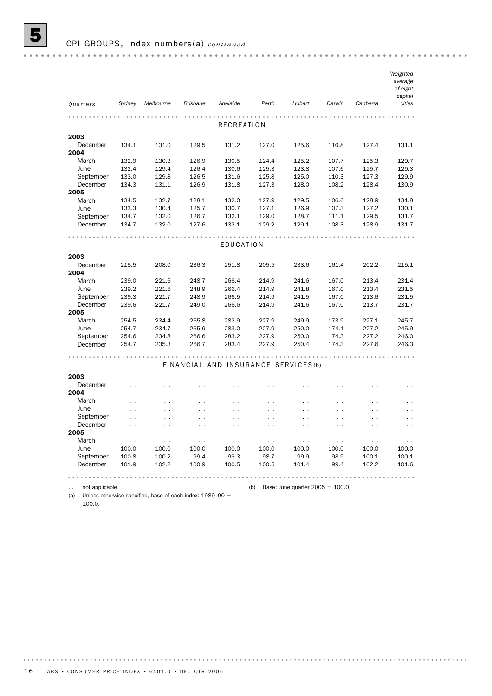|           |                      |                      |                      |                                      |                      |                      |                      |                      | Weighted             |
|-----------|----------------------|----------------------|----------------------|--------------------------------------|----------------------|----------------------|----------------------|----------------------|----------------------|
|           |                      |                      |                      |                                      |                      |                      |                      |                      | average<br>of eight  |
|           |                      |                      |                      |                                      |                      |                      |                      |                      | capital              |
| Quarters  | Sydney               | Melbourne            | <b>Brisbane</b>      | Adelaide                             | Perth                | Hobart               | Darwin               | Canberra             | cities               |
|           |                      |                      |                      |                                      |                      |                      |                      |                      |                      |
|           |                      |                      |                      | RECREATION                           |                      |                      |                      |                      |                      |
|           |                      |                      |                      |                                      |                      |                      |                      |                      |                      |
| 2003      |                      |                      |                      |                                      |                      |                      |                      |                      |                      |
| December  | 134.1                | 131.0                | 129.5                | 131.2                                | 127.0                | 125.6                | 110.8                | 127.4                | 131.1                |
| 2004      |                      |                      |                      |                                      |                      |                      |                      |                      |                      |
| March     | 132.9                | 130.3                | 126.9                | 130.5                                | 124.4                | 125.2                | 107.7                | 125.3                | 129.7                |
| June      | 132.4                | 129.4                | 126.4                | 130.6                                | 125.3                | 123.8                | 107.6                | 125.7                | 129.3                |
| September | 133.0                | 129.8                | 126.5                | 131.6                                | 125.8                | 125.0                | 110.3                | 127.3                | 129.9                |
| December  | 134.3                | 131.1                | 126.9                | 131.8                                | 127.3                | 128.0                | 108.2                | 128.4                | 130.9                |
| 2005      |                      |                      |                      |                                      |                      |                      |                      |                      |                      |
| March     | 134.5                | 132.7                | 128.1                | 132.0                                | 127.9                | 129.5                | 106.6                | 128.9                | 131.8                |
| June      | 133.3                | 130.4                | 125.7                | 130.7                                | 127.1                | 126.9                | 107.3                | 127.2                | 130.1                |
| September | 134.7                | 132.0                | 126.7                | 132.1                                | 129.0                | 128.7                | 111.1                | 129.5                | 131.7                |
| December  | 134.7                | 132.0                | 127.6                | 132.1                                | 129.2                | 129.1                | 108.3                | 128.9                | 131.7                |
|           |                      |                      |                      |                                      |                      |                      |                      |                      |                      |
|           |                      |                      |                      | EDUCATION                            |                      |                      |                      |                      |                      |
| 2003      |                      |                      |                      |                                      |                      |                      |                      |                      |                      |
| December  | 215.5                | 208.0                | 236.3                | 251.8                                | 205.5                | 233.6                | 161.4                | 202.2                | 215.1                |
| 2004      |                      |                      |                      |                                      |                      |                      |                      |                      |                      |
| March     | 239.0                | 221.6                | 248.7                | 266.4                                | 214.9                | 241.6                | 167.0                | 213.4                | 231.4                |
| June      | 239.2                | 221.6                | 248.9                | 266.4                                | 214.9                | 241.8                | 167.0                | 213.4                | 231.5                |
| September | 239.3                | 221.7                | 248.9                | 266.5                                | 214.9                | 241.5                | 167.0                | 213.6                | 231.5                |
| December  | 239.6                | 221.7                | 249.0                | 266.6                                | 214.9                | 241.6                | 167.0                | 213.7                | 231.7                |
| 2005      |                      |                      |                      |                                      |                      |                      |                      |                      |                      |
| March     | 254.5                | 234.4                | 265.8                | 282.9                                | 227.9                | 249.9                | 173.9                | 227.1                | 245.7                |
| June      | 254.7                | 234.7                | 265.9                | 283.0                                | 227.9                | 250.0                | 174.1                | 227.2                | 245.9                |
| September | 254.6                | 234.8                | 266.6                | 283.2                                | 227.9                | 250.0                | 174.3                | 227.2                | 246.0                |
| December  | 254.7                | 235.3                | 266.7                | 283.4                                | 227.9                | 250.4                | 174.3                | 227.6                | 246.3                |
|           |                      |                      |                      |                                      |                      |                      |                      |                      |                      |
|           |                      |                      |                      | FINANCIAL AND INSURANCE SERVICES (b) |                      |                      |                      |                      |                      |
| 2003      |                      |                      |                      |                                      |                      |                      |                      |                      |                      |
| December  |                      |                      |                      |                                      |                      |                      |                      |                      |                      |
| 2004      |                      |                      |                      |                                      |                      |                      |                      |                      |                      |
| March     | $\ddot{\phantom{0}}$ | $\ddot{\phantom{0}}$ | $\ddotsc$            | $\ddot{\phantom{0}}$                 | $\ddotsc$            | $\ddot{\phantom{0}}$ | $\ddot{\phantom{0}}$ | $\ddot{\phantom{0}}$ | $\ddotsc$            |
| June      |                      | $\ddot{\phantom{1}}$ | $\ddot{\phantom{0}}$ | $\ddot{\phantom{0}}$                 | $\ddot{\phantom{0}}$ | $\ddot{\phantom{0}}$ | $\ddot{\phantom{0}}$ | $\ddot{\phantom{1}}$ | . .                  |
| September | $\ddotsc$            | $\ddot{\phantom{1}}$ | $\ddotsc$            | $\ddot{\phantom{0}}$                 | $\ddot{\phantom{0}}$ | $\ddot{\phantom{0}}$ | $\ddotsc$            | $\ddot{\phantom{0}}$ | $\ddot{\phantom{0}}$ |
| December  | $\ddotsc$            |                      | $\ddot{\phantom{0}}$ |                                      |                      |                      |                      |                      |                      |
| 2005      |                      |                      |                      |                                      |                      |                      |                      |                      |                      |
| March     | $\sim$ $\sim$        | $\sim$ $\sim$        | $\sim$ $\sim$        | $\sim$ $\sim$                        | $\sim$ $\sim$        | $\sim$ $\sim$        | $\sim$ $\sim$        | $\sim$               | $\sim$ $\sim$        |
| June      | 100.0                | 100.0                | 100.0                | 100.0                                | 100.0                | 100.0                | 100.0                | 100.0                | 100.0                |
| September | 100.8                | 100.2                | 99.4                 | 99.3                                 | 98.7                 | 99.9                 | 98.9                 | 100.1                | 100.1                |
| December  | 101.9                | 102.2                | 100.9                | 100.5                                | 100.5                | 101.4                | 99.4                 | 102.2                | 101.6                |
|           |                      |                      |                      |                                      |                      |                      |                      |                      |                      |
|           |                      |                      |                      |                                      |                      |                      |                      |                      |                      |

.. not applicable (b) Base: June quarter 2005 = 100.0.

(a) Unless otherwise specified, base of each index: 1989–90 = 100.0.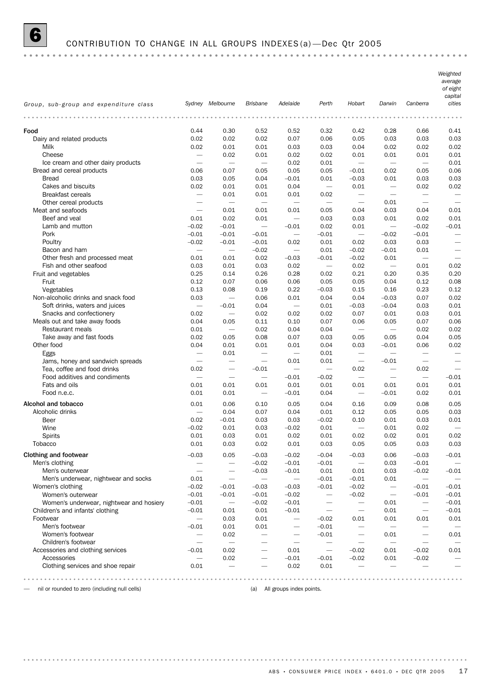#### 6 CONTRIBUTION TO CHANGE IN ALL GROUPS INDEXES (a) —Dec Qtr 2005

*Weighted average of eight capital Group, sub-group and expenditure class Sydney Melbourne Brisbane Adelaide Perth Hobart Darwin Canberra cities* Food 0.44 0.30 0.52 0.52 0.32 0.42 0.28 0.66 0.41 Dairy and related products 0.02 0.02 0.02 0.07 0.06 0.05 0.03 0.03 0.03 Milk 0.02 0.01 0.01 0.03 0.03 0.04 0.02 0.02 0.02 Cheese — 0.02 0.01 0.02 0.02 0.01 0.01 0.01 0.01 Ice cream and other dairy products  $-$  0.02 0.01  $-$  0.01 Bread and cereal products 0.06 0.07 0.05 0.05 0.05 –0.01 0.02 0.05 0.06 Bread 0.03 0.05 0.04 –0.01 0.01 –0.03 0.01 0.03 0.03 Cakes and biscuits 0.02 0.01 0.01 0.04 — 0.01 — 0.02 0.02 Breakfast cereals 0.01 0.01 0.01 0.02 — — Other cereal products — — — — — — 0.01 — — Meat and seafoods — 0.01 0.01 0.01 0.05 0.04 0.03 0.04 0.01 Beef and veal **beef** and veal **beef** and veal **beef** and veal **beef** and veal **beef** and veal **beef** and veal **beef** and veal **beef** and veal **beef** and veal **beef** and veal **beef** and veal **beef** and veal **beef** and veal Lamb and mutton  $-0.02$   $-0.01$   $-0.01$  0.02 0.01  $-0.02$   $-0.01$ Pork –0.01 –0.01 –0.01 — –0.01 — –0.02 –0.01 — Poultry –0.02 –0.01 –0.01 0.02 0.01 0.02 0.03 0.03 — Bacon and ham  $-0.02$   $0.01$   $-0.02$   $-0.01$   $0.01$   $-$ Other fresh and processed meat  $0.01$   $0.01$   $0.02$   $0.03$   $0.01$   $0.02$   $0.01$   $0.02$   $0.01$ Fish and other seafood **0.03** 0.01 0.03 0.02 — 0.02 — 0.01 0.02 Fruit and vegetables 0.25 0.14 0.26 0.28 0.02 0.21 0.20 0.35 0.20 Fruit 0.12 0.07 0.06 0.06 0.05 0.05 0.04 0.12 0.08 Vegetables 0.13 0.08 0.19 0.22 –0.03 0.15 0.16 0.23 0.12 Non-alcoholic drinks and snack food 0.03 — 0.06 0.01 0.04 0.04 –0.03 0.07 0.02 Soft drinks, waters and juices  $\qquad \qquad -0.01$   $\qquad \qquad 0.04$   $\qquad -0.01$   $\qquad \qquad -0.03$   $\qquad -0.04$   $\qquad \qquad 0.03$  0.01 Snacks and confectionery 0.02 — 0.02 0.02 0.02 0.07 0.01 0.03 0.01 Meals out and take away foods 0.04 0.05 0.11 0.10 0.07 0.06 0.05 0.07 0.06 Restaurant meals 0.01 — 0.02 0.04 0.04 — — 0.02 0.02 Take away and fast foods 0.02 0.05 0.08 0.07 0.03 0.05 0.05 0.04 0.05 Other food 0.04 0.01 0.01 0.01 0.04 0.03 –0.01 0.06 0.02 Eggs — 0.01 — — 0.01 — — — — Jams, honey and sandwich spreads  $-$  0.01  $0.01$   $-$ 0.01  $-$ Tea, coffee and food drinks  $0.02 - 0.01 - 0.02 - 0.02 - 0.02$  $\frac{1}{2}$  Food additives and condiments  $\frac{1}{2}$   $\frac{1}{2}$   $\frac{1}{2}$   $\frac{1}{2}$   $\frac{1}{2}$   $\frac{1}{2}$   $\frac{1}{2}$   $\frac{1}{2}$   $\frac{1}{2}$   $\frac{1}{2}$   $\frac{1}{2}$   $\frac{1}{2}$   $\frac{1}{2}$   $\frac{1}{2}$   $\frac{1}{2}$   $\frac{1}{2}$   $\frac{1}{2}$   $\frac{1}{2}$  Fats and oils 0.01 0.01 0.01 0.01 0.01 0.01 0.01 0.01 0.01 Food n.e.c. 0.01 0.01 — –0.01 0.04 — –0.01 0.02 0.01 Alcohol and tobacco 0.01 0.06 0.10 0.05 0.04 0.16 0.09 0.08 0.05 Alcoholic drinks — 0.04 0.07 0.04 0.01 0.12 0.05 0.05 0.03 Beer 0.02 –0.01 0.03 0.03 –0.02 0.10 0.01 0.03 0.01 Wine –0.02 0.01 0.03 –0.02 0.01 — 0.01 0.02 — Spirits 0.01 0.03 0.01 0.02 0.01 0.02 0.02 0.01 0.02 Tobacco 0.01 0.03 0.02 0.01 0.03 0.05 0.05 0.03 0.03 Clothing and footwear  $-0.03$   $-0.03$   $-0.03$   $-0.03$   $-0.02$   $-0.04$   $-0.03$   $-0.03$   $-0.01$   $-0.03$   $-0.01$ Men's clothing -0.02 -0.01 0.03 -0.01 — Men's outerwear — — –0.03 –0.01 0.01 0.01 0.03 –0.02 –0.01 Men's underwear, nightwear and socks  $0.01 - 4 = 0.01 - 0.01 - 0.01 - 0.01 = 0.01 - 0.01$ Women's clothing –0.02 –0.01 –0.03 –0.03 –0.01 –0.02 — –0.01 –0.01 Women's outerwear –0.01 –0.01 –0.01 –0.02 — –0.02 — –0.01 –0.01 Women's underwear, nightwear and hosiery  $-0.01$   $-0.02$   $-0.01$   $-0.01$   $-0.01$ Children's and infants' clothing  $-0.01$   $0.01$   $0.01$   $-0.01$   $0.01$   $-0.01$ Footwear — 0.03 0.01 — –0.02 0.01 0.01 0.01 0.01 Men's footwear –0.01 0.01 0.01 — –0.01 — — — — Women's footwear — 0.02 — — –0.01 — 0.01 — 0.01 Children's footwear  $-$ Accessories and clothing services  $-0.01$   $0.02$   $0.01$   $-0.02$   $0.01$   $-0.02$   $0.01$ Accessories — 0.02 — –0.01 –0.01 –0.02 0.01 –0.02 — Clothing services and shoe repair  $0.01 - 0.02 - 0.02$ 

— nil or rounded to zero (including null cells) (a) All groups index points.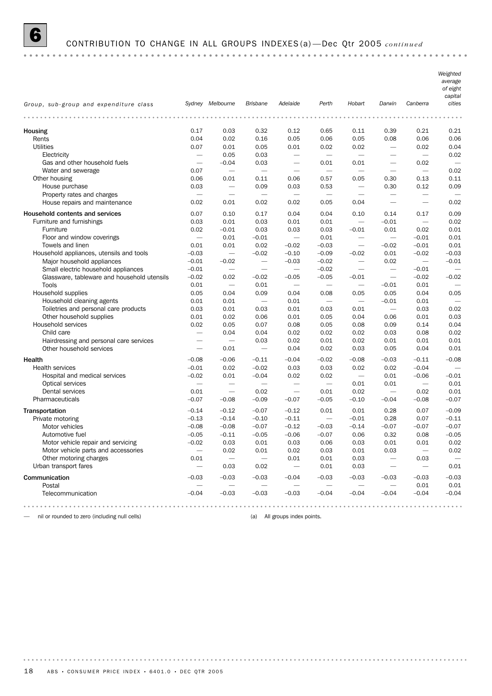

# 6 CONTRIBUTION TO CHANGE IN ALL GROUPS INDEXES (a) —Dec Qtr 2005 *continued*

|                                                             |                                  |                                                                    |                                  |                                  |                          |                                     |                          |                                  | Weighted<br>average<br>of eight<br>capital |
|-------------------------------------------------------------|----------------------------------|--------------------------------------------------------------------|----------------------------------|----------------------------------|--------------------------|-------------------------------------|--------------------------|----------------------------------|--------------------------------------------|
| Group, sub-group and expenditure class                      |                                  | Sydney Melbourne                                                   | <b>Brisbane</b>                  | Adelaide                         | Perth                    | Hobart                              | Darwin                   | Canberra                         | cities                                     |
|                                                             |                                  |                                                                    |                                  |                                  |                          |                                     |                          |                                  |                                            |
| Housing                                                     | 0.17                             | 0.03                                                               | 0.32                             | 0.12                             | 0.65                     | 0.11                                | 0.39                     | 0.21                             | 0.21                                       |
| Rents                                                       | 0.04                             | 0.02                                                               | 0.16                             | 0.05                             | 0.06                     | 0.05                                | 0.08                     | 0.06                             | 0.06                                       |
| <b>Utilities</b>                                            | 0.07                             | 0.01                                                               | 0.05                             | 0.01                             | 0.02                     | 0.02                                |                          | 0.02                             | 0.04                                       |
| Electricity                                                 | $\overline{\phantom{m}}$         | 0.05                                                               | 0.03                             | $\overbrace{\qquad \qquad }$     |                          | $\overline{\phantom{m}}$            | $\overline{\phantom{0}}$ | $\overline{\phantom{0}}$         | 0.02                                       |
| Gas and other household fuels                               |                                  | $-0.04$                                                            | 0.03                             |                                  | 0.01                     | 0.01                                | $\overline{\phantom{0}}$ | 0.02                             |                                            |
| Water and sewerage                                          | 0.07                             | $\overline{\phantom{0}}$                                           | $\overline{\phantom{m}}$         | $\overbrace{\qquad \qquad }$     | $\overline{\phantom{a}}$ |                                     | $\overline{\phantom{m}}$ |                                  | 0.02                                       |
| Other housing                                               | 0.06                             | 0.01                                                               | 0.11                             | 0.06                             | 0.57                     | 0.05                                | 0.30                     | 0.13                             | 0.11                                       |
| House purchase                                              | 0.03<br>$\overline{\phantom{m}}$ | $\overbrace{\phantom{1232211}}$<br>$\overbrace{\phantom{1232211}}$ | 0.09<br>$\overline{\phantom{m}}$ | 0.03<br>$\overline{\phantom{m}}$ | 0.53                     | $\overline{\phantom{m}}$            | 0.30                     | 0.12<br>$\overline{\phantom{0}}$ | 0.09                                       |
| Property rates and charges<br>House repairs and maintenance | 0.02                             | 0.01                                                               | 0.02                             | 0.02                             | 0.05                     | 0.04                                |                          |                                  | 0.02                                       |
|                                                             |                                  |                                                                    |                                  |                                  |                          |                                     |                          |                                  |                                            |
| Household contents and services                             | 0.07                             | 0.10<br>0.01                                                       | 0.17<br>0.03                     | 0.04                             | 0.04                     | 0.10                                | 0.14                     | 0.17                             | 0.09<br>0.02                               |
| Furniture and furnishings<br>Furniture                      | 0.03<br>0.02                     | $-0.01$                                                            | 0.03                             | 0.01<br>0.03                     | 0.01<br>0.03             | $\overline{\phantom{m}}$<br>$-0.01$ | $-0.01$<br>0.01          | 0.02                             | 0.01                                       |
| Floor and window coverings                                  |                                  | 0.01                                                               | $-0.01$                          | $\overbrace{\phantom{1232211}}$  | 0.01                     | $\overbrace{\phantom{1232211}}$     |                          | $-0.01$                          | 0.01                                       |
| Towels and linen                                            | 0.01                             | 0.01                                                               | 0.02                             | $-0.02$                          | $-0.03$                  | $\overline{\phantom{m}}$            | $-0.02$                  | $-0.01$                          | 0.01                                       |
| Household appliances, utensils and tools                    | $-0.03$                          | $\overline{\phantom{m}}$                                           | $-0.02$                          | $-0.10$                          | $-0.09$                  | $-0.02$                             | 0.01                     | $-0.02$                          | $-0.03$                                    |
| Major household appliances                                  | $-0.01$                          | $-0.02$                                                            | $\overline{\phantom{m}}$         | $-0.03$                          | $-0.02$                  | $\overline{\phantom{m}}$            | 0.02                     | $\overline{\phantom{0}}$         | $-0.01$                                    |
| Small electric household appliances                         | $-0.01$                          | $\overbrace{\phantom{1232211}}$                                    |                                  | $\overline{\phantom{0}}$         | $-0.02$                  | $\overbrace{\phantom{1232211}}$     | $\overline{\phantom{0}}$ | $-0.01$                          |                                            |
| Glassware, tableware and household utensils                 | $-0.02$                          | 0.02                                                               | $-0.02$                          | $-0.05$                          | $-0.05$                  | $-0.01$                             | $\overline{\phantom{0}}$ | $-0.02$                          | $-0.02$                                    |
| Tools                                                       | 0.01                             |                                                                    | 0.01                             | $\overline{\phantom{m}}$         | $\overline{\phantom{m}}$ |                                     | $-0.01$                  | 0.01                             |                                            |
| Household supplies                                          | 0.05                             | 0.04                                                               | 0.09                             | 0.04                             | 0.08                     | 0.05                                | 0.05                     | 0.04                             | 0.05                                       |
| Household cleaning agents                                   | 0.01                             | 0.01                                                               | $\overline{\phantom{0}}$         | 0.01                             | $\overline{\phantom{m}}$ |                                     | $-0.01$                  | 0.01                             |                                            |
| Toiletries and personal care products                       | 0.03                             | 0.01                                                               | 0.03                             | 0.01                             | 0.03                     | 0.01                                | $\overline{\phantom{0}}$ | 0.03                             | 0.02                                       |
| Other household supplies                                    | 0.01                             | 0.02                                                               | 0.06                             | 0.01                             | 0.05                     | 0.04                                | 0.06                     | 0.01                             | 0.03                                       |
| Household services<br>Child care                            | 0.02<br>$\overline{\phantom{m}}$ | 0.05<br>0.04                                                       | 0.07<br>0.04                     | 0.08<br>0.02                     | 0.05<br>0.02             | 0.08<br>0.02                        | 0.09<br>0.03             | 0.14<br>0.08                     | 0.04<br>0.02                               |
| Hairdressing and personal care services                     | $\overline{\phantom{0}}$         | $\overline{\phantom{m}}$                                           | 0.03                             | 0.02                             | 0.01                     | 0.02                                | 0.01                     | 0.01                             | 0.01                                       |
| Other household services                                    |                                  | 0.01                                                               | $\overline{\phantom{m}}$         | 0.04                             | 0.02                     | 0.03                                | 0.05                     | 0.04                             | 0.01                                       |
|                                                             |                                  |                                                                    |                                  |                                  |                          |                                     |                          |                                  |                                            |
| Health                                                      | $-0.08$                          | $-0.06$                                                            | $-0.11$<br>$-0.02$               | $-0.04$                          | $-0.02$                  | $-0.08$                             | $-0.03$                  | $-0.11$<br>$-0.04$               | $-0.08$                                    |
| Health services<br>Hospital and medical services            | $-0.01$<br>$-0.02$               | 0.02<br>0.01                                                       | $-0.04$                          | 0.03<br>0.02                     | 0.03<br>0.02             | 0.02                                | 0.02<br>0.01             | $-0.06$                          | $-0.01$                                    |
| Optical services                                            |                                  | $\overline{\phantom{0}}$                                           |                                  | $\overbrace{\phantom{1232211}}$  |                          | 0.01                                | 0.01                     |                                  | 0.01                                       |
| Dental services                                             | 0.01                             | $\overline{\phantom{m}}$                                           | 0.02                             |                                  | 0.01                     | 0.02                                |                          | 0.02                             | 0.01                                       |
| Pharmaceuticals                                             | $-0.07$                          | $-0.08$                                                            | $-0.09$                          | $-0.07$                          | $-0.05$                  | $-0.10$                             | $-0.04$                  | $-0.08$                          | $-0.07$                                    |
| Transportation                                              | $-0.14$                          | $-0.12$                                                            | $-0.07$                          | $-0.12$                          | 0.01                     | 0.01                                | 0.28                     | 0.07                             | $-0.09$                                    |
| Private motoring                                            | $-0.13$                          | $-0.14$                                                            | $-0.10$                          | $-0.11$                          |                          | $-0.01$                             | 0.28                     | 0.07                             | $-0.11$                                    |
| Motor vehicles                                              | $-0.08$                          | $-0.08$                                                            | $-0.07$                          | $-0.12$                          | $-0.03$                  | $-0.14$                             | $-0.07$                  | $-0.07$                          | $-0.07$                                    |
| Automotive fuel                                             | $-0.05$                          | $-0.11$                                                            | $-0.05$                          | $-0.06$                          | $-0.07$                  | 0.06                                | 0.32                     | 0.08                             | $-0.05$                                    |
| Motor vehicle repair and servicing                          | $-0.02$                          | 0.03                                                               | 0.01                             | 0.03                             | 0.06                     | 0.03                                | 0.01                     | 0.01                             | 0.02                                       |
| Motor vehicle parts and accessories                         | $\qquad \qquad -$                | 0.02                                                               | 0.01                             | 0.02                             | 0.03                     | 0.01                                | 0.03                     | $\overline{\phantom{0}}$         | 0.02                                       |
| Other motoring charges                                      | 0.01                             | $\overline{\phantom{m}}$                                           | $\overline{\phantom{m}}$         | 0.01                             | 0.01                     | 0.03                                |                          | 0.03                             | $\qquad \qquad -$                          |
| Urban transport fares                                       |                                  | 0.03                                                               | 0.02                             |                                  | 0.01                     | 0.03                                | $\overline{\phantom{0}}$ | $\overline{\phantom{0}}$         | 0.01                                       |
| Communication                                               | $-0.03$                          | $-0.03$                                                            | $-0.03$                          | $-0.04$                          | $-0.03$                  | $-0.03$                             | $-0.03$                  | $-0.03$                          | $-0.03$                                    |
| Postal                                                      |                                  |                                                                    | $\qquad \qquad -$                | -                                |                          | $\overline{\phantom{m}}$            |                          | 0.01                             | 0.01                                       |
| Telecommunication                                           | $-0.04$                          | $-0.03$                                                            | $-0.03$                          | $-0.03$                          | $-0.04$                  | $-0.04$                             | $-0.04$                  | $-0.04$                          | $-0.04$                                    |
|                                                             |                                  |                                                                    |                                  |                                  |                          |                                     |                          |                                  |                                            |

— nil or rounded to zero (including null cells) (a) All groups index points.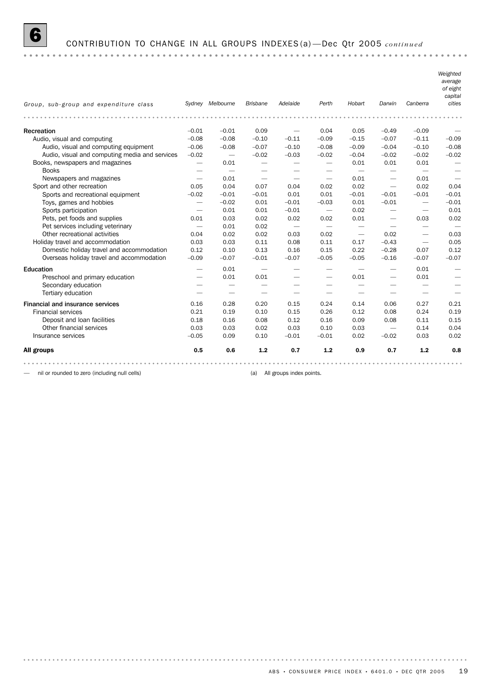

#### 6 CONTRIBUTION TO CHANGE IN ALL GROUPS INDEXES (a) —Dec Qtr 2005 *continued*

*Weighted average of eight capital Group, sub-group and expenditure class Sydney Melbourne Brisbane Adelaide Perth Hobart Darwin Canberra cities* Recreation –0.01 –0.01 0.09 — 0.04 0.05 –0.49 –0.09 — Audio, visual and computing  $-0.08$   $-0.08$   $-0.10$   $-0.11$   $-0.09$   $-0.15$   $-0.07$   $-0.11$   $-0.09$ Audio, visual and computing equipment  $-0.06$   $-0.08$   $-0.07$   $-0.10$   $-0.08$   $-0.09$   $-0.04$   $-0.10$   $-0.08$ Audio, visual and computing media and services -0.02 -0.02 -0.02 -0.03 -0.02 -0.04 -0.02 -0.02 -0.02 -0.02 Books, newspapers and magazines  $\qquad -$  0.01  $\qquad \qquad \qquad -$  0.01 0.01 0.01  $\qquad -$ Books — — — — — — — — — Newspapers and magazines  $-$  0.01  $-$  0.01  $-$  0.01  $-$  0.01 Sport and other recreation 0.05 0.04 0.07 0.04 0.02 0.02 — 0.02 0.04 Sports and recreational equipment  $-0.02$   $-0.01$   $-0.01$  0.01 0.01  $-0.01$   $-0.01$   $-0.01$   $-0.01$ Toys, games and hobbies  $-0.02$   $0.01$   $-0.01$   $-0.03$   $0.01$   $-0.01$   $-0.01$ Sports participation **12.1** — 0.01 0.01 -0.01 — 0.02 — — 0.01 0.01 Pets, pet foods and supplies 0.01 0.03 0.02 0.02 0.02 0.01 — 0.03 0.02 Pet services including veterinary  $-$  0.01 0.02  $-$ Other recreational activities  $0.04$   $0.02$   $0.02$   $0.03$   $0.02$   $0.02$   $-$  0.03 Holiday travel and accommodation 0.03 0.03 0.11 0.08 0.11 0.17 –0.43 — 0.05 Domestic holiday travel and accommodation 0.12 0.10 0.13 0.16 0.15 0.22 –0.28 0.07 0.12 Overseas holiday travel and accommodation –0.09 –0.07 –0.01 –0.07 –0.05 –0.05 –0.16 –0.07 –0.07 Education — 0.01 — — — — — 0.01 — Preschool and primary education  $-$  0.01 0.01  $-$  0.01  $-$  0.01  $-$ Secondary education — — — — — — — — — Tertiary education — — — — — — — — — Financial and insurance services 0.16 0.28 0.20 0.15 0.24 0.14 0.06 0.27 0.21 Financial services 0.21 0.21 0.29 0.21 0.19 0.10 0.15 0.26 0.12 0.08 0.24 0.19 Financial services 0.21 0.19 0.10 0.15 0.26 0.12 0.08 0.24 0.19 Deposit and loan facilities 0.18 0.16 0.08 0.12 0.16 0.09 0.08 0.11 0.15 Other financial services 0.03 0.03 0.02 0.03 0.10 0.03 — 0.14 0.04 Insurance services –0.05 0.09 0.10 –0.01 –0.01 0.02 –0.02 0.03 0.02 All groups 0.5 0.6 1.2 0.7 1.2 0.9 0.7 1.2 0.8 

— nil or rounded to zero (including null cells) (a) All groups index points.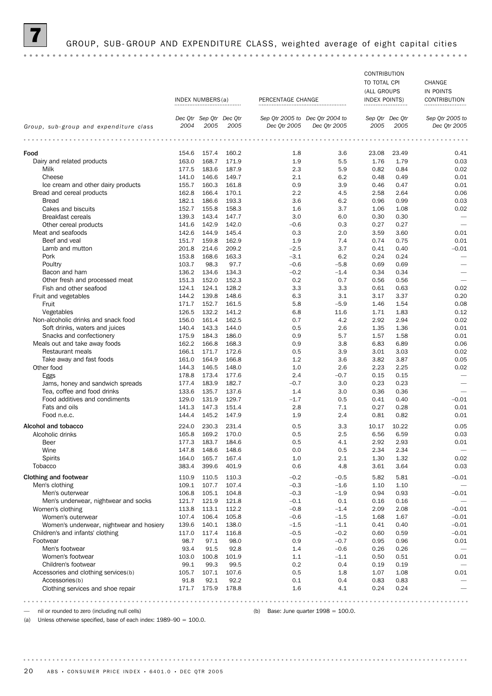

#### GROUP, SUB-GROUP AND EXPENDITURE CLASS, weighted average of eight capital cities

CONTRIBUTION TO TOTAL CPI CHANGE (ALL GROUPS IN POINTS INDEX NUMBERS(a) PERCENTAGE CHANGE INDEX POINTS) CONTRIBUTION *Dec Qtr Sep Qtr Dec Qtr Dec Qtr 2004 to Sep Qtr 2005 to Dec Qtr Sep Qtr Sep Qtr 2005 to Group, sub-group and expenditure class 2005 2004 2005 Dec Qtr 2005 Dec Qtr 2005 2005 2005 Dec Qtr 2005* Food 154.6 157.4 160.2 1.8 3.6 23.08 23.49 0.41 Dairy and related products 163.0 168.7 171.9 1.9 5.5 1.76 1.79 0.03<br>Milk 177.5 183.6 187.9 2.3 5.9 0.82 0.84 0.02 Milk 177.5 183.6 187.9 2.3 5.9 0.82 0.84 0.02 Cheese 141.0 146.6 149.7 2.1 6.2 0.48 0.49 0.01 Ice cream and other dairy products 155.7 160.3 161.8 0.9 3.9 0.46 0.47 0.01 Bread and cereal products 162.8 166.4 170.1 2.2 4.5 2.58 2.64 0.06 Bread 182.1 186.6 193.3 3.6 6.2 0.96 0.99 0.03 Cakes and biscuits 152.7 155.8 158.3 158.3 1.6 3.7 1.06 1.08 0.02 Breakfast cereals 139.3 143.4 147.7 3.0 6.0 0.30 0.30 — Other cereal products 141.6 142.9 142.0 -0.6 0.3 0.27 0.27 – 142.0 – 0.6 0.3 0.27 0.27 – 0.01 Meat and seafoods 142.6 142.6 144.9 145.4 145.4 146.9 2.0 3.59 3.60 0.01 Beef and veal 151.7 159.8 162.9 1.9 1.9 1.4 0.74 0.75 0.01 Lamb and mutton 201.8 214.6 209.2 –2.5 3.7 0.41 0.40 –0.01 Pork 153.8 168.6 163.3 – 3.1 6.2 0.24 0.24 – Poultry 103.7 98.3 97.7 –0.6 –5.8 0.69 0.69 — Bacon and ham 136.2 134.6 134.3 – 0.2 – 1.4 0.34 0.34 – Other fresh and processed meat 151.3 152.0 152.3 0.2 0.7 0.56 0.56 Fish and other seafood **124.1 124.1 128.2** 3.3 3.3 0.61 0.63 0.02 Fruit and vegetables 145.2 139.8 148.6 6.3 3.1 3.17 3.37 0.20 Fruit 171.7 152.7 161.5 5.8 –5.9 1.46 1.54 0.08 Vegetables 126.5 132.2 141.2 6.8 11.6 1.71 1.83 0.12 Non-alcoholic drinks and snack food 156.0 161.4 162.5 0.7 4.2 2.92 2.94 0.02 Soft drinks, waters and juices 140.4 143.3 144.0 0.5 2.6 1.35 1.36 0.01 0.01 Snacks and confectionery **175.9 184.3 186.0** 0.9 5.7 1.57 1.58 0.01 0.01 Meals out and take away foods 162.2 166.8 168.3 0.9 3.8 6.83 6.89 0.06 Restaurant meals 166.1 171.7 172.6 0.5 3.9 3.01 3.03 0.02 Take away and fast foods 161.0 164.9 166.8 1.2 3.6 3.82 3.87 0.05 Other food 144.3 146.5 148.0 1.0 2.6 2.23 2.25 0.02 Eggs 178.8 173.4 177.6 2.4 –0.7 0.15 0.15 — Jams, honey and sandwich spreads  $177.4$  183.9 182.7  $-0.7$  3.0 0.23 0.23  $-$ Tea, coffee and food drinks 133.6 135.7 137.6 1.4 3.0 0.36 0.36 — Food additives and condiments 129.0 131.9 129.7 –1.7 0.5 0.41 0.40 –0.01 Fats and oils **141.3 141.3 147.3 151.4** 2.8 7.1 0.27 0.28 0.01 Food n.e.c. 144.4 145.2 147.9 1.9 2.4 0.81 0.82 0.01 Alcohol and tobacco **224.0 230.3 231.4** 0.5 3.3 10.17 10.22 0.05 Alcoholic drinks 165.8 169.2 170.0 0.5 2.5 6.56 6.59 0.03 Beer 177.3 183.7 184.6 0.5 4.1 2.92 2.93 0.01 Wine 147.8 148.6 148.6 0.0 0.5 2.34 2.34 — Spirits 164.0 165.7 167.4 1.0 2.1 1.30 1.32 0.02 Tobacco 383.4 399.6 401.9 0.6 4.8 3.61 3.64 0.03 Clothing and footwear 110.9 110.9 110.5 110.3 −0.2 −0.5 5.82 5.81 −0.01<br>Men's clothing and footwear 109.1 109.1 107.7 107.4 −0.3 −1.6 1.10 1.10 − Men's clothing 109.1 107.7 107.4 –0.3 –1.6 1.10 1.10 — Men's outerwear 106.8 105.1 104.8 –0.3 –1.9 0.94 0.93 –0.01 Men's underwear, nightwear and socks  $121.7$  121.9  $121.8$  -0.1  $0.1$  0.16 0.16 0.16 Women's clothing 113.8 113.8 113.1 112.2 -0.8 -1.4 2.09 2.08 -0.01 Women's outerwear 107.4 106.4 105.8 –0.6 –1.5 1.68 1.67 –0.01 Women's underwear, nightwear and hosiery 139.6 140.1 138.0 -1.5 -1.1 0.41 0.40 -0.01 -0.01 Children's and infants' clothing 117.0 117.4 116.8 –0.5 –0.2 0.60 0.59 –0.01 Footwear 98.7 97.1 98.0 0.9 –0.7 0.95 0.96 0.01 Men's footwear 93.4 91.5 92.8 1.4 –0.6 0.26 0.26 — Women's footwear 103.0 100.8 101.9 1.1 –1.1 0.50 0.51 0.01 Children's footwear 99.1 99.3 99.5 0.2 0.4 0.19 0.19 — Accessories and clothing services(b)  $105.7$  107.1 107.6  $10.5$  1.8 1.07 1.08 0.01 0.4 0.83 0.83 - Accessories(b) 91.8 92.1 92.2 0.1 0.4 0.83 0.83 -Accessories(b) 91.8 92.1 92.2 0.1 0.4 0.83 0.83 Clothing services and shoe repair 171.7 175.9 178.8 1.6 1.6 1.4.1 0.24 0.24 

— nil or rounded to zero (including null cells) (b) Base: June quarter 1998 = 100.0.

(a) Unless otherwise specified, base of each index: 1989–90 = 100.0.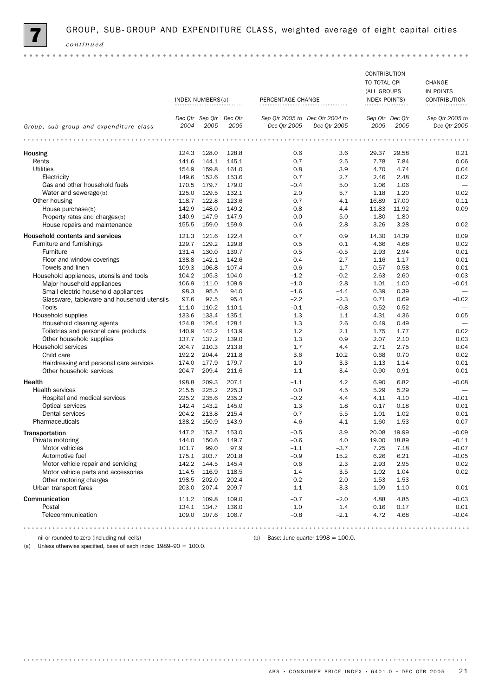

|                                             |       |                         |       |                                 |              | <b>CONTRIBUTION</b>  |                 |                          |
|---------------------------------------------|-------|-------------------------|-------|---------------------------------|--------------|----------------------|-----------------|--------------------------|
|                                             |       |                         |       |                                 |              | TO TOTAL CPI         |                 | CHANGE                   |
|                                             |       |                         |       |                                 |              | (ALL GROUPS          |                 | IN POINTS                |
|                                             |       | INDEX NUMBERS(a)        |       | PERCENTAGE CHANGE               |              | <b>INDEX POINTS)</b> |                 | CONTRIBUTION             |
|                                             |       |                         |       |                                 |              |                      |                 |                          |
|                                             |       |                         |       |                                 |              |                      |                 |                          |
|                                             |       | Dec Qtr Sep Qtr Dec Qtr |       | Sep Qtr 2005 to Dec Qtr 2004 to |              |                      | Sep Qtr Dec Qtr | Sep Qtr 2005 to          |
| Group, sub-group and expenditure class      | 2004  | 2005                    | 2005  | Dec Otr 2005                    | Dec Qtr 2005 | 2005                 | 2005            | Dec Qtr 2005             |
|                                             |       |                         |       |                                 |              |                      |                 |                          |
| Housing                                     | 124.3 | 128.0                   | 128.8 | 0.6                             | 3.6          | 29.37                | 29.58           | 0.21                     |
| Rents                                       | 141.6 | 144.1                   | 145.1 | 0.7                             | 2.5          | 7.78                 | 7.84            | 0.06                     |
| <b>Utilities</b>                            | 154.9 | 159.8                   | 161.0 | 0.8                             | 3.9          | 4.70                 | 4.74            | 0.04                     |
| Electricity                                 | 149.6 | 152.6                   | 153.6 | 0.7                             | 2.7          | 2.46                 | 2.48            | 0.02                     |
| Gas and other household fuels               | 170.5 | 179.7                   | 179.0 | $-0.4$                          | 5.0          | 1.06                 | 1.06            | $\overline{\phantom{0}}$ |
| Water and sewerage(b)                       | 125.0 | 129.5                   | 132.1 | 2.0                             | 5.7          | 1.18                 | 1.20            | 0.02                     |
|                                             |       |                         |       |                                 |              |                      |                 |                          |
| Other housing                               | 118.7 | 122.8                   | 123.6 | 0.7                             | 4.1          | 16.89                | 17.00           | 0.11                     |
| House purchase(b)                           | 142.9 | 148.0                   | 149.2 | 0.8                             | 4.4          | 11.83                | 11.92           | 0.09                     |
| Property rates and charges(b)               | 140.9 | 147.9                   | 147.9 | 0.0                             | 5.0          | 1.80                 | 1.80            |                          |
| House repairs and maintenance               | 155.5 | 159.0                   | 159.9 | 0.6                             | 2.8          | 3.26                 | 3.28            | 0.02                     |
| Household contents and services             | 121.3 | 121.6                   | 122.4 | 0.7                             | 0.9          | 14.30                | 14.39           | 0.09                     |
| Furniture and furnishings                   | 129.7 | 129.2                   | 129.8 | 0.5                             | 0.1          | 4.66                 | 4.68            | 0.02                     |
| Furniture                                   | 131.4 | 130.0                   | 130.7 | 0.5                             | $-0.5$       | 2.93                 | 2.94            | 0.01                     |
| Floor and window coverings                  | 138.8 | 142.1                   | 142.6 | 0.4                             | 2.7          | 1.16                 | 1.17            | 0.01                     |
| Towels and linen                            | 109.3 | 106.8                   | 107.4 | 0.6                             | $-1.7$       | 0.57                 | 0.58            | 0.01                     |
| Household appliances, utensils and tools    | 104.2 | 105.3                   | 104.0 | $-1.2$                          | $-0.2$       | 2.63                 | 2.60            | $-0.03$                  |
| Major household appliances                  | 106.9 | 111.0                   | 109.9 | $-1.0$                          | 2.8          | 1.01                 | 1.00            | $-0.01$                  |
| Small electric household appliances         | 98.3  | 95.5                    | 94.0  | $-1.6$                          | $-4.4$       | 0.39                 | 0.39            |                          |
|                                             |       |                         |       |                                 |              |                      |                 |                          |
| Glassware, tableware and household utensils | 97.6  | 97.5                    | 95.4  | $-2.2$                          | $-2.3$       | 0.71                 | 0.69            | $-0.02$                  |
| Tools                                       | 111.0 | 110.2                   | 110.1 | $-0.1$                          | $-0.8$       | 0.52                 | 0.52            |                          |
| Household supplies                          | 133.6 | 133.4                   | 135.1 | 1.3                             | 1.1          | 4.31                 | 4.36            | 0.05                     |
| Household cleaning agents                   | 124.8 | 126.4                   | 128.1 | 1.3                             | 2.6          | 0.49                 | 0.49            |                          |
| Toiletries and personal care products       | 140.9 | 142.2                   | 143.9 | 1.2                             | 2.1          | 1.75                 | 1.77            | 0.02                     |
| Other household supplies                    | 137.7 | 137.2                   | 139.0 | 1.3                             | 0.9          | 2.07                 | 2.10            | 0.03                     |
| Household services                          | 204.7 | 210.3                   | 213.8 | 1.7                             | 4.4          | 2.71                 | 2.75            | 0.04                     |
| Child care                                  | 192.2 | 204.4                   | 211.8 | 3.6                             | 10.2         | 0.68                 | 0.70            | 0.02                     |
| Hairdressing and personal care services     | 174.0 | 177.9                   | 179.7 | 1.0                             | 3.3          | 1.13                 | 1.14            | 0.01                     |
| Other household services                    | 204.7 | 209.4                   | 211.6 | 1.1                             | 3.4          | 0.90                 | 0.91            | 0.01                     |
| Health                                      | 198.8 | 209.3                   | 207.1 | $-1.1$                          | 4.2          | 6.90                 | 6.82            | $-0.08$                  |
|                                             |       |                         |       | 0.0                             |              | 5.29                 | 5.29            |                          |
| <b>Health services</b>                      | 215.5 | 225.2                   | 225.3 |                                 | 4.5          |                      |                 |                          |
| Hospital and medical services               | 225.2 | 235.6                   | 235.2 | $-0.2$                          | 4.4          | 4.11                 | 4.10            | $-0.01$                  |
| Optical services                            | 142.4 | 143.2                   | 145.0 | 1.3                             | 1.8          | 0.17                 | 0.18            | 0.01                     |
| Dental services                             | 204.2 | 213.8                   | 215.4 | 0.7                             | 5.5          | 1.01                 | 1.02            | 0.01                     |
| Pharmaceuticals                             | 138.2 | 150.9                   | 143.9 | $-4.6$                          | 4.1          | 1.60                 | 1.53            | $-0.07$                  |
| <b>Transportation</b>                       | 147.2 | 153.7                   | 153.0 | $-0.5$                          | 3.9          | 20.08                | 19.99           | $-0.09$                  |
| Private motoring                            | 144.0 | 150.6                   | 149.7 | $-0.6$                          | 4.0          | 19.00                | 18.89           | $-0.11$                  |
| Motor vehicles                              | 101.7 | 99.0                    | 97.9  | $-1.1$                          | $-3.7$       | 7.25                 | 7.18            | $-0.07$                  |
| Automotive fuel                             | 175.1 | 203.7                   | 201.8 | $-0.9$                          | 15.2         | 6.26                 | 6.21            | $-0.05$                  |
| Motor vehicle repair and servicing          | 142.2 | 144.5                   | 145.4 | 0.6                             | 2.3          | 2.93                 | 2.95            | 0.02                     |
| Motor vehicle parts and accessories         | 114.5 | 116.9                   | 118.5 | 1.4                             | 3.5          | 1.02                 | 1.04            | 0.02                     |
| Other motoring charges                      | 198.5 | 202.0                   | 202.4 | 0.2                             | 2.0          | 1.53                 | 1.53            |                          |
| Urban transport fares                       | 203.0 | 207.4                   | 209.7 | 1.1                             | 3.3          | 1.09                 | 1.10            | 0.01                     |
|                                             |       |                         |       |                                 |              |                      |                 |                          |
| Communication                               | 111.2 | 109.8                   | 109.0 | $-0.7$                          | $-2.0$       | 4.88                 | 4.85            | $-0.03$                  |
| Postal                                      | 134.1 | 134.7                   | 136.0 | 1.0                             | 1.4          | 0.16                 | 0.17            | 0.01                     |
| Telecommunication                           | 109.0 | 107.6                   | 106.7 | $-0.8$                          | $-2.1$       | 4.72                 | 4.68            | $-0.04$                  |
|                                             |       |                         |       |                                 |              |                      |                 |                          |
|                                             |       |                         |       |                                 |              |                      |                 |                          |

mil or rounded to zero (including null cells) (b) Base: June quarter 1998 = 100.0.

(a) Unless otherwise specified, base of each index:  $1989-90 = 100.0$ .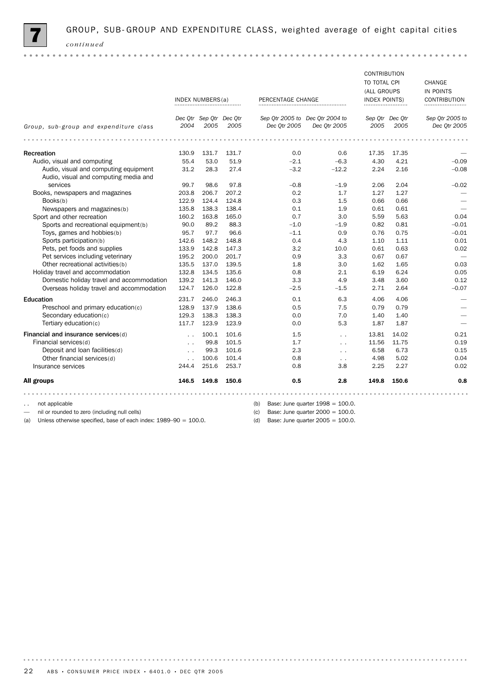

|                                           |                      |                         |       |                   |                                     | <b>CONTRIBUTION</b>  |                 |                 |
|-------------------------------------------|----------------------|-------------------------|-------|-------------------|-------------------------------------|----------------------|-----------------|-----------------|
|                                           |                      |                         |       |                   |                                     | TO TOTAL CPI         |                 | CHANGE          |
|                                           |                      |                         |       |                   |                                     | (ALL GROUPS          |                 | IN POINTS       |
|                                           |                      | INDEX NUMBERS(a)        |       | PERCENTAGE CHANGE |                                     | <b>INDEX POINTS)</b> |                 | CONTRIBUTION    |
|                                           |                      |                         |       |                   |                                     |                      |                 |                 |
|                                           |                      | Dec Qtr Sep Qtr Dec Qtr |       |                   | Sep Qtr 2005 to Dec Qtr 2004 to     |                      | Sep Qtr Dec Qtr | Sep Otr 2005 to |
| Group, sub-group and expenditure class    | 2004                 | 2005                    | 2005  | Dec Otr 2005      | Dec 0tr 2005                        | 2005                 | 2005            | Dec 0tr 2005    |
|                                           |                      |                         |       |                   |                                     |                      |                 |                 |
| Recreation                                | 130.9                | 131.7                   | 131.7 | 0.0               | 0.6                                 | 17.35                | 17.35           |                 |
| Audio, visual and computing               | 55.4                 | 53.0                    | 51.9  | $-2.1$            | $-6.3$                              | 4.30                 | 4.21            | $-0.09$         |
| Audio, visual and computing equipment     | 31.2                 | 28.3                    | 27.4  | $-3.2$            | $-12.2$                             | 2.24                 | 2.16            | $-0.08$         |
| Audio, visual and computing media and     |                      |                         |       |                   |                                     |                      |                 |                 |
| services                                  | 99.7                 | 98.6                    | 97.8  | $-0.8$            | $-1.9$                              | 2.06                 | 2.04            | $-0.02$         |
| Books, newspapers and magazines           | 203.8                | 206.7                   | 207.2 | 0.2               | 1.7                                 | 1.27                 | 1.27            |                 |
| Books(b)                                  | 122.9                | 124.4                   | 124.8 | 0.3               | 1.5                                 | 0.66                 | 0.66            |                 |
| Newspapers and magazines(b)               | 135.8                | 138.3                   | 138.4 | 0.1               | 1.9                                 | 0.61                 | 0.61            |                 |
| Sport and other recreation                | 160.2                | 163.8                   | 165.0 | 0.7               | 3.0                                 | 5.59                 | 5.63            | 0.04            |
| Sports and recreational equipment(b)      | 90.0                 | 89.2                    | 88.3  | $-1.0$            | $-1.9$                              | 0.82                 | 0.81            | $-0.01$         |
| Toys, games and hobbies(b)                | 95.7                 | 97.7                    | 96.6  | $-1.1$            | 0.9                                 | 0.76                 | 0.75            | $-0.01$         |
| Sports participation(b)                   | 142.6                | 148.2                   | 148.8 | 0.4               | 4.3                                 | 1.10                 | 1.11            | 0.01            |
| Pets, pet foods and supplies              | 133.9                | 142.8                   | 147.3 | 3.2               | 10.0                                | 0.61                 | 0.63            | 0.02            |
| Pet services including veterinary         | 195.2                | 200.0                   | 201.7 | 0.9               | 3.3                                 | 0.67                 | 0.67            |                 |
| Other recreational activities(b)          | 135.5                | 137.0                   | 139.5 | 1.8               | 3.0                                 | 1.62                 | 1.65            | 0.03            |
| Holiday travel and accommodation          | 132.8                | 134.5                   | 135.6 | 0.8               | 2.1                                 | 6.19                 | 6.24            | 0.05            |
| Domestic holiday travel and accommodation | 139.2                | 141.3                   | 146.0 | 3.3               | 4.9                                 | 3.48                 | 3.60            | 0.12            |
| Overseas holiday travel and accommodation | 124.7                | 126.0                   | 122.8 | $-2.5$            | $-1.5$                              | 2.71                 | 2.64            | $-0.07$         |
| Education                                 | 231.7                | 246.0                   | 246.3 | 0.1               | 6.3                                 | 4.06                 | 4.06            |                 |
| Preschool and primary education(c)        | 128.9                | 137.9                   | 138.6 | 0.5               | 7.5                                 | 0.79                 | 0.79            |                 |
| Secondary education(c)                    | 129.3                | 138.3                   | 138.3 | 0.0               | 7.0                                 | 1.40                 | 1.40            |                 |
| Tertiary education(c)                     | 117.7                | 123.9                   | 123.9 | 0.0               | 5.3                                 | 1.87                 | 1.87            |                 |
| Financial and insurance services(d)       | $\sim$ $\sim$        | 100.1                   | 101.6 | 1.5               | $\sim$ $\sim$                       | 13.81                | 14.02           | 0.21            |
| Financial services(d)                     | $\ddot{\phantom{0}}$ | 99.8                    | 101.5 | 1.7               | $\ddotsc$                           | 11.56                | 11.75           | 0.19            |
| Deposit and loan facilities(d)            | $\ddot{\phantom{0}}$ | 99.3                    | 101.6 | 2.3               | $\ddot{\phantom{0}}$                | 6.58                 | 6.73            | 0.15            |
| Other financial services(d)               | $\ddot{\phantom{0}}$ | 100.6                   | 101.4 | 0.8               | $\sim$ $\sim$                       | 4.98                 | 5.02            | 0.04            |
| Insurance services                        | 244.4                | 251.6                   | 253.7 | 0.8               | 3.8                                 | 2.25                 | 2.27            | 0.02            |
| All groups                                | 146.5                | 149.8                   | 150.6 | 0.5               | 2.8                                 | 149.8                | 150.6           | 0.8             |
|                                           |                      |                         |       |                   |                                     |                      |                 |                 |
| not applicable                            |                      |                         |       | (b)               | Base: June quarter $1998 = 100.0$ . |                      |                 |                 |

— nil or rounded to zero (including null cells)

(a) Unless otherwise specified, base of each index:  $1989-90 = 100.0$ .

(c) Base: June quarter  $2000 = 100.0$ .

(d) Base: June quarter  $2005 = 100.0$ .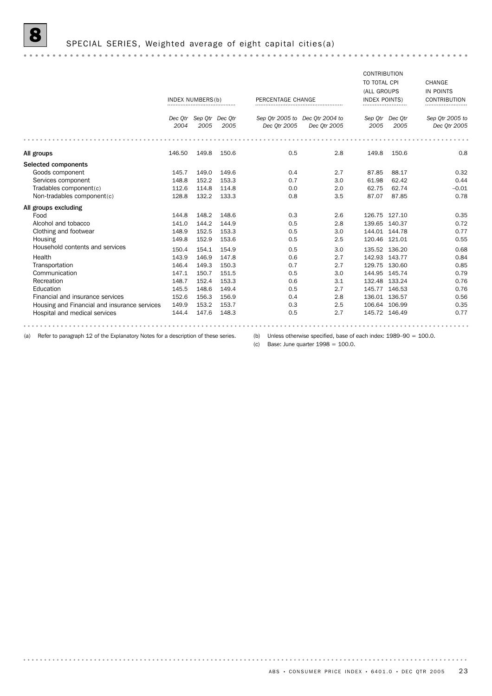## 8 SPECIAL SERIES, Weighted average of eight capital cities(a)

|                                              |         |                         |       |                   |                                 | <b>CONTRIBUTION</b>  |               |                     |
|----------------------------------------------|---------|-------------------------|-------|-------------------|---------------------------------|----------------------|---------------|---------------------|
|                                              |         |                         |       |                   |                                 | TO TOTAL CPI         |               | CHANGE              |
|                                              |         |                         |       |                   |                                 | (ALL GROUPS          |               | IN POINTS           |
|                                              |         | <b>INDEX NUMBERS(b)</b> |       | PERCENTAGE CHANGE |                                 | <b>INDEX POINTS)</b> |               | <b>CONTRIBUTION</b> |
|                                              |         |                         |       |                   |                                 |                      |               |                     |
|                                              | Dec Otr | Sep Otr Dec Otr         |       |                   | Sep Otr 2005 to Dec Otr 2004 to | Sep Otr              | Dec Qtr       | Sep Qtr 2005 to     |
|                                              | 2004    | 2005                    | 2005  | Dec Otr 2005      | Dec Otr 2005                    | 2005                 | 2005          | Dec 0tr 2005        |
|                                              |         |                         |       |                   |                                 |                      |               |                     |
| All groups                                   | 146.50  | 149.8                   | 150.6 | 0.5               | 2.8                             | 149.8                | 150.6         | 0.8                 |
| Selected components                          |         |                         |       |                   |                                 |                      |               |                     |
| Goods component                              | 145.7   | 149.0                   | 149.6 | 0.4               | 2.7                             | 87.85                | 88.17         | 0.32                |
| Services component                           | 148.8   | 152.2                   | 153.3 | 0.7               | 3.0                             | 61.98                | 62.42         | 0.44                |
| Tradables component(c)                       | 112.6   | 114.8                   | 114.8 | 0.0               | 2.0                             | 62.75                | 62.74         | $-0.01$             |
| Non-tradables component(c)                   | 128.8   | 132.2                   | 133.3 | 0.8               | 3.5                             | 87.07                | 87.85         | 0.78                |
| All groups excluding                         |         |                         |       |                   |                                 |                      |               |                     |
| Food                                         | 144.8   | 148.2                   | 148.6 | 0.3               | 2.6                             |                      | 126.75 127.10 | 0.35                |
| Alcohol and tobacco                          | 141.0   | 144.2                   | 144.9 | 0.5               | 2.8                             |                      | 139.65 140.37 | 0.72                |
| Clothing and footwear                        | 148.9   | 152.5                   | 153.3 | 0.5               | 3.0                             |                      | 144.01 144.78 | 0.77                |
| Housing                                      | 149.8   | 152.9                   | 153.6 | 0.5               | 2.5                             |                      | 120.46 121.01 | 0.55                |
| Household contents and services              | 150.4   | 154.1                   | 154.9 | 0.5               | 3.0                             |                      | 135.52 136.20 | 0.68                |
| Health                                       | 143.9   | 146.9                   | 147.8 | 0.6               | 2.7                             |                      | 142.93 143.77 | 0.84                |
| Transportation                               | 146.4   | 149.3                   | 150.3 | 0.7               | 2.7                             |                      | 129.75 130.60 | 0.85                |
| Communication                                | 147.1   | 150.7                   | 151.5 | 0.5               | 3.0                             |                      | 144.95 145.74 | 0.79                |
| Recreation                                   | 148.7   | 152.4                   | 153.3 | 0.6               | 3.1                             |                      | 132.48 133.24 | 0.76                |
| Education                                    | 145.5   | 148.6                   | 149.4 | 0.5               | 2.7                             |                      | 145.77 146.53 | 0.76                |
| Financial and insurance services             | 152.6   | 156.3                   | 156.9 | 0.4               | 2.8                             |                      | 136.01 136.57 | 0.56                |
| Housing and Financial and insurance services | 149.9   | 153.2                   | 153.7 | 0.3               | 2.5                             |                      | 106.64 106.99 | 0.35                |
| Hospital and medical services                | 144.4   | 147.6                   | 148.3 | 0.5               | 2.7                             |                      | 145.72 146.49 | 0.77                |
|                                              |         |                         |       |                   |                                 |                      |               |                     |

(a) Refer to paragraph 12 of the Explanatory Notes for a description of these series.

(b) Unless otherwise specified, base of each index: 1989–90 = 100.0.

(c) Base: June quarter  $1998 = 100.0$ .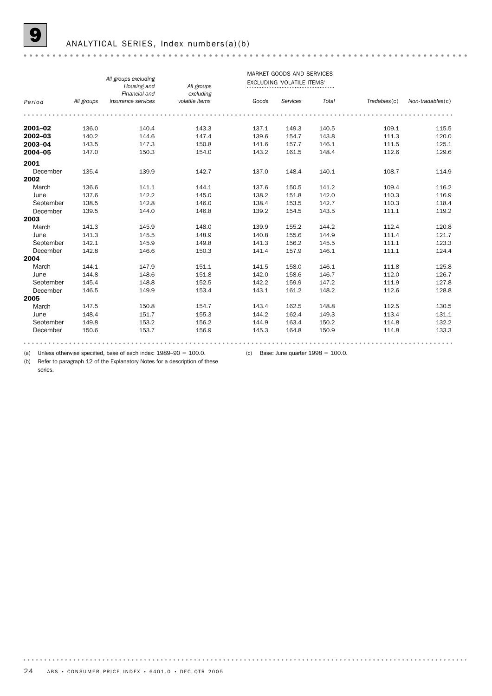#### ANALYTICAL SERIES, Index numbers(a)(b)

|           |            |                      |                  |       | MARKET GOODS AND SERVICES         |       |              |                  |
|-----------|------------|----------------------|------------------|-------|-----------------------------------|-------|--------------|------------------|
|           |            | All groups excluding |                  |       | <b>EXCLUDING 'VOLATILE ITEMS'</b> |       |              |                  |
|           |            | Housing and          | All groups       |       |                                   |       |              |                  |
|           |            | Financial and        | excluding        |       |                                   |       |              |                  |
| Period    | All groups | insurance services   | 'volatile items' | Goods | Services                          | Total | Tradebles(c) | Non-tradables(c) |
|           |            |                      |                  |       |                                   |       |              |                  |
| 2001-02   | 136.0      | 140.4                | 143.3            | 137.1 | 149.3                             | 140.5 | 109.1        | 115.5            |
| 2002-03   | 140.2      | 144.6                | 147.4            | 139.6 | 154.7                             | 143.8 | 111.3        | 120.0            |
| 2003-04   | 143.5      | 147.3                | 150.8            | 141.6 | 157.7                             | 146.1 | 111.5        | 125.1            |
| 2004-05   | 147.0      | 150.3                | 154.0            | 143.2 | 161.5                             | 148.4 | 112.6        | 129.6            |
| 2001      |            |                      |                  |       |                                   |       |              |                  |
| December  | 135.4      | 139.9                | 142.7            | 137.0 | 148.4                             | 140.1 | 108.7        | 114.9            |
| 2002      |            |                      |                  |       |                                   |       |              |                  |
| March     | 136.6      | 141.1                | 144.1            | 137.6 | 150.5                             | 141.2 | 109.4        | 116.2            |
| June      | 137.6      | 142.2                | 145.0            | 138.2 | 151.8                             | 142.0 | 110.3        | 116.9            |
| September | 138.5      | 142.8                | 146.0            | 138.4 | 153.5                             | 142.7 | 110.3        | 118.4            |
| December  | 139.5      | 144.0                | 146.8            | 139.2 | 154.5                             | 143.5 | 111.1        | 119.2            |
| 2003      |            |                      |                  |       |                                   |       |              |                  |
| March     | 141.3      | 145.9                | 148.0            | 139.9 | 155.2                             | 144.2 | 112.4        | 120.8            |
| June      | 141.3      | 145.5                | 148.9            | 140.8 | 155.6                             | 144.9 | 111.4        | 121.7            |
| September | 142.1      | 145.9                | 149.8            | 141.3 | 156.2                             | 145.5 | 111.1        | 123.3            |
| December  | 142.8      | 146.6                | 150.3            | 141.4 | 157.9                             | 146.1 | 111.1        | 124.4            |
| 2004      |            |                      |                  |       |                                   |       |              |                  |
| March     | 144.1      | 147.9                | 151.1            | 141.5 | 158.0                             | 146.1 | 111.8        | 125.8            |
| June      | 144.8      | 148.6                | 151.8            | 142.0 | 158.6                             | 146.7 | 112.0        | 126.7            |
| September | 145.4      | 148.8                | 152.5            | 142.2 | 159.9                             | 147.2 | 111.9        | 127.8            |
| December  | 146.5      | 149.9                | 153.4            | 143.1 | 161.2                             | 148.2 | 112.6        | 128.8            |
| 2005      |            |                      |                  |       |                                   |       |              |                  |
| March     | 147.5      | 150.8                | 154.7            | 143.4 | 162.5                             | 148.8 | 112.5        | 130.5            |
| June      | 148.4      | 151.7                | 155.3            | 144.2 | 162.4                             | 149.3 | 113.4        | 131.1            |
| September | 149.8      | 153.2                | 156.2            | 144.9 | 163.4                             | 150.2 | 114.8        | 132.2            |
| December  | 150.6      | 153.7                | 156.9            | 145.3 | 164.8                             | 150.9 | 114.8        | 133.3            |
|           |            |                      |                  |       |                                   |       |              |                  |
|           |            |                      |                  |       |                                   |       |              |                  |

(a) Unless otherwise specified, base of each index:  $1989-90 = 100.0$ . (c) Base: June quarter  $1998 = 100.0$ .

(b) Refer to paragraph 12 of the Explanatory Notes for a description of these series.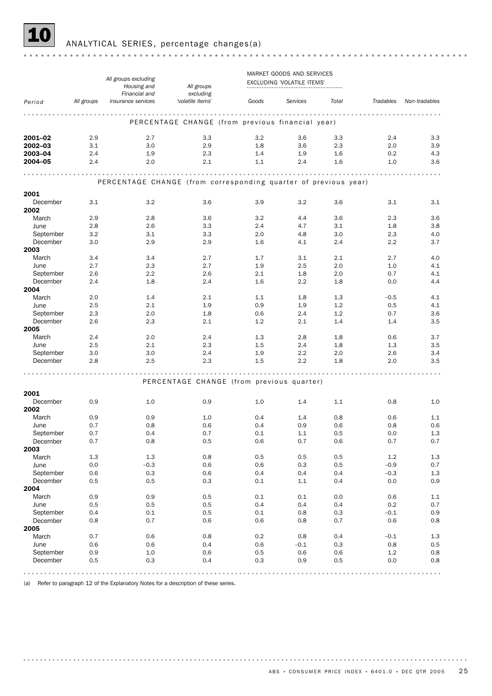

10 ANALYTICAL SERIES, percentage changes(a)

|                       |            | All groups excluding<br>Housing and<br>Financial and            | All groups<br>excluding                          |            |            | MARKET GOODS AND SERVICES<br>EXCLUDING 'VOLATILE ITEMS' |            |                |                |
|-----------------------|------------|-----------------------------------------------------------------|--------------------------------------------------|------------|------------|---------------------------------------------------------|------------|----------------|----------------|
| Period                | All groups | insurance services                                              | 'volatile items'                                 | Goods      |            | Services                                                | Total      | Tradables      | Non-tradables  |
|                       |            |                                                                 | PERCENTAGE CHANGE (from previous financial year) |            |            |                                                         |            |                |                |
| 2001-02               | 2.9        | 2.7                                                             | 3.3                                              |            | 3.2        | 3.6                                                     | 3.3        | 2.4            | 3.3            |
| 2002-03               | 3.1        | 3.0                                                             | 2.9                                              |            | 1.8        | 3.6                                                     | 2.3        | 2.0            | 3.9            |
| 2003-04               | 2.4        | 1.9                                                             | 2.3                                              | 1.4        |            | 1.9                                                     | 1.6        | 0.2            | 4.3            |
| 2004-05               | 2.4        | 2.0                                                             | 2.1                                              | 1.1        |            | 2.4                                                     | 1.6        | 1.0            | 3.6            |
|                       |            | PERCENTAGE CHANGE (from corresponding quarter of previous year) |                                                  |            |            |                                                         |            |                |                |
| 2001                  |            |                                                                 |                                                  |            |            |                                                         |            |                |                |
| December              | 3.1        | 3.2                                                             | 3.6                                              | 3.9        |            | 3.2                                                     | 3.6        | 3.1            | 3.1            |
| 2002<br>March         |            |                                                                 |                                                  |            |            |                                                         |            |                |                |
| June                  | 2.9<br>2.8 | 2.8<br>2.6                                                      | 3.6<br>3.3                                       |            | 3.2<br>2.4 | 4.4<br>4.7                                              | 3.6<br>3.1 | 2.3<br>1.8     | 3.6<br>3.8     |
| September             | 3.2        | 3.1                                                             | 3.3                                              | 2.0        |            | 4.8                                                     | 3.0        | 2.3            | 4.0            |
| December              | 3.0        | 2.9                                                             | 2.9                                              |            | 1.6        | 4.1                                                     | 2.4        | 2.2            | 3.7            |
| 2003                  |            |                                                                 |                                                  |            |            |                                                         |            |                |                |
| March                 | 3.4        | 3.4                                                             | 2.7                                              | 1.7        |            | 3.1                                                     | 2.1        | 2.7            | 4.0            |
| June                  | 2.7        | 2.3                                                             | 2.7                                              |            | 1.9        | 2.5                                                     | 2.0        | 1.0            | 4.1            |
| September             | 2.6        | 2.2                                                             | 2.6                                              |            | 2.1        | 1.8                                                     | 2.0        | 0.7            | 4.1            |
| December<br>2004      | 2.4        | 1.8                                                             | 2.4                                              |            | 1.6        | 2.2                                                     | 1.8        | 0.0            | 4.4            |
| March                 | 2.0        | 1.4                                                             | 2.1                                              |            | 1.1        | 1.8                                                     | 1.3        | $-0.5$         | 4.1            |
| June                  | 2.5        | 2.1                                                             | 1.9                                              |            | 0.9        | 1.9                                                     | 1.2        | 0.5            | 4.1            |
| September             | 2.3        | 2.0                                                             | 1.8                                              |            | 0.6        | 2.4                                                     | 1.2        | 0.7            | 3.6            |
| December              | 2.6        | 2.3                                                             | 2.1                                              |            | 1.2        | 2.1                                                     | 1.4        | 1.4            | 3.5            |
| 2005                  |            |                                                                 |                                                  |            |            |                                                         |            |                |                |
| March                 | 2.4        | 2.0                                                             | 2.4                                              | 1.3        |            | 2.8                                                     | 1.8        | 0.6            | 3.7            |
| June                  | 2.5        | 2.1                                                             | 2.3<br>2.4                                       |            | 1.5        | 2.4                                                     | 1.8        | 1.3            | 3.5            |
| September<br>December | 3.0<br>2.8 | 3.0<br>2.5                                                      | 2.3                                              | 1.9        | 1.5        | 2.2<br>2.2                                              | 2.0<br>1.8 | 2.6<br>2.0     | 3.4<br>3.5     |
|                       |            |                                                                 |                                                  |            |            |                                                         |            |                |                |
|                       |            |                                                                 | PERCENTAGE CHANGE (from previous quarter)        |            |            |                                                         |            |                |                |
| 2001                  |            |                                                                 |                                                  |            |            |                                                         |            |                |                |
| December              | 0.9        | 1.0                                                             | 0.9                                              |            | 1.0        | 1.4                                                     | 1.1        | 0.8            | 1.0            |
| 2002<br>March         | 0.9        | 0.9                                                             | 1.0                                              |            |            |                                                         | 0.8        |                | 1.1            |
| June                  | 0.7        | 0.8                                                             | 0.6                                              | 0.4<br>0.4 |            | 1.4<br>0.9                                              | 0.6        | 0.6<br>0.8     | 0.6            |
| September             | 0.7        | 0.4                                                             | 0.7                                              |            | 0.1        | 1.1                                                     | 0.5        | 0.0            | 1.3            |
| December              | 0.7        | 0.8                                                             | 0.5                                              | 0.6        |            | 0.7                                                     | 0.6        | 0.7            | $0.7\,$        |
| 2003                  |            |                                                                 |                                                  |            |            |                                                         |            |                |                |
| March                 | $1.3\,$    | $1.3\,$                                                         | $0.8\,$                                          | $0.5\,$    |            | 0.5                                                     | 0.5        | $1.2\,$        | $1.3\,$        |
| June                  | 0.0        | $-0.3$                                                          | 0.6                                              |            | 0.6        | 0.3                                                     | 0.5        | $-0.9$         | 0.7            |
| September<br>December | 0.6<br>0.5 | 0.3<br>0.5                                                      | 0.6<br>0.3                                       | 0.1        | 0.4        | 0.4<br>$1.1\,$                                          | 0.4<br>0.4 | $-0.3$<br>0.0  | 1.3<br>$0.9\,$ |
| 2004                  |            |                                                                 |                                                  |            |            |                                                         |            |                |                |
| March                 | 0.9        | 0.9                                                             | 0.5                                              | 0.1        |            | 0.1                                                     | 0.0        | 0.6            | $1.1\,$        |
| June                  | 0.5        | 0.5                                                             | 0.5                                              |            | 0.4        | 0.4                                                     | 0.4        | 0.2            | 0.7            |
| September             | 0.4        | 0.1                                                             | 0.5                                              | 0.1        |            | 0.8                                                     | 0.3        | $-0.1$         | 0.9            |
| December              | 0.8        | 0.7                                                             | 0.6                                              |            | 0.6        | 0.8                                                     | 0.7        | 0.6            | 0.8            |
| 2005                  |            |                                                                 |                                                  |            |            |                                                         |            |                |                |
| March                 | 0.7        | 0.6                                                             | 0.8                                              | 0.2        |            | 0.8                                                     | 0.4        | $-0.1$         | 1.3            |
| June<br>September     | 0.6<br>0.9 | 0.6<br>1.0                                                      | 0.4<br>0.6                                       |            | 0.6<br>0.5 | $-0.1$<br>0.6                                           | 0.3<br>0.6 | 0.8<br>$1.2\,$ | 0.5<br>0.8     |
| December              | 0.5        | 0.3                                                             | 0.4                                              | 0.3        |            | 0.9                                                     | 0.5        | 0.0            | 0.8            |
|                       |            |                                                                 |                                                  |            |            |                                                         |            |                |                |

(a) Refer to paragraph 12 of the Explanatory Notes for a description of these series.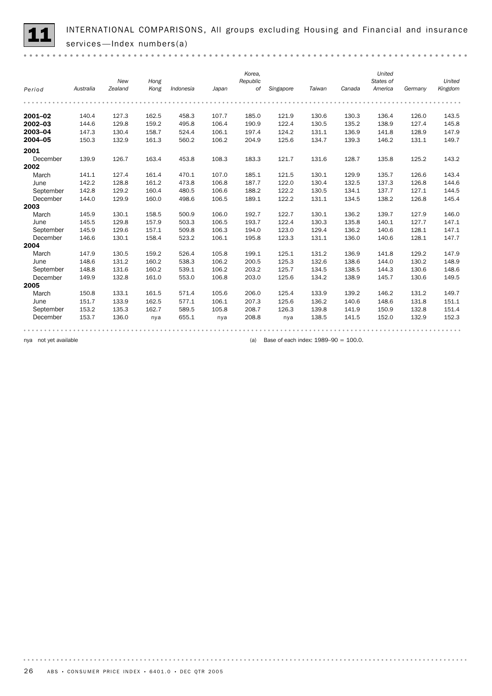INTERNATIONAL COMPARISONS, All groups excluding Housing and Financial and insurance services —Index numbers(a)

|                       |           | New     | Hong  |                                                  |       | Korea,<br>Republic |           |        | Canada | United<br>States of |         | United  |
|-----------------------|-----------|---------|-------|--------------------------------------------------|-------|--------------------|-----------|--------|--------|---------------------|---------|---------|
| Period                | Australia | Zealand | Kong  | Indonesia                                        | Japan | оf                 | Singapore | Taiwan |        | America             | Germany | Kingdom |
|                       |           |         |       |                                                  |       |                    |           |        |        |                     |         |         |
| 2001-02               | 140.4     | 127.3   | 162.5 | 458.3                                            | 107.7 | 185.0              | 121.9     | 130.6  | 130.3  | 136.4               | 126.0   | 143.5   |
| 2002-03               | 144.6     | 129.8   | 159.2 | 495.8                                            | 106.4 | 190.9              | 122.4     | 130.5  | 135.2  | 138.9               | 127.4   | 145.8   |
| 2003-04               | 147.3     | 130.4   | 158.7 | 524.4                                            | 106.1 | 197.4              | 124.2     | 131.1  | 136.9  | 141.8               | 128.9   | 147.9   |
| 2004-05               | 150.3     | 132.9   | 161.3 | 560.2                                            | 106.2 | 204.9              | 125.6     | 134.7  | 139.3  | 146.2               | 131.1   | 149.7   |
| 2001                  |           |         |       |                                                  |       |                    |           |        |        |                     |         |         |
| December              | 139.9     | 126.7   | 163.4 | 453.8                                            | 108.3 | 183.3              | 121.7     | 131.6  | 128.7  | 135.8               | 125.2   | 143.2   |
| 2002                  |           |         |       |                                                  |       |                    |           |        |        |                     |         |         |
| March                 | 141.1     | 127.4   | 161.4 | 470.1                                            | 107.0 | 185.1              | 121.5     | 130.1  | 129.9  | 135.7               | 126.6   | 143.4   |
| June                  | 142.2     | 128.8   | 161.2 | 473.8                                            | 106.8 | 187.7              | 122.0     | 130.4  | 132.5  | 137.3               | 126.8   | 144.6   |
| September             | 142.8     | 129.2   | 160.4 | 480.5                                            | 106.6 | 188.2              | 122.2     | 130.5  | 134.1  | 137.7               | 127.1   | 144.5   |
| December              | 144.0     | 129.9   | 160.0 | 498.6                                            | 106.5 | 189.1              | 122.2     | 131.1  | 134.5  | 138.2               | 126.8   | 145.4   |
| 2003                  |           |         |       |                                                  |       |                    |           |        |        |                     |         |         |
| March                 | 145.9     | 130.1   | 158.5 | 500.9                                            | 106.0 | 192.7              | 122.7     | 130.1  | 136.2  | 139.7               | 127.9   | 146.0   |
| June                  | 145.5     | 129.8   | 157.9 | 503.3                                            | 106.5 | 193.7              | 122.4     | 130.3  | 135.8  | 140.1               | 127.7   | 147.1   |
| September             | 145.9     | 129.6   | 157.1 | 509.8                                            | 106.3 | 194.0              | 123.0     | 129.4  | 136.2  | 140.6               | 128.1   | 147.1   |
| December              | 146.6     | 130.1   | 158.4 | 523.2                                            | 106.1 | 195.8              | 123.3     | 131.1  | 136.0  | 140.6               | 128.1   | 147.7   |
| 2004                  |           |         |       |                                                  |       |                    |           |        |        |                     |         |         |
| March                 | 147.9     | 130.5   | 159.2 | 526.4                                            | 105.8 | 199.1              | 125.1     | 131.2  | 136.9  | 141.8               | 129.2   | 147.9   |
| June                  | 148.6     | 131.2   | 160.2 | 538.3                                            | 106.2 | 200.5              | 125.3     | 132.6  | 138.6  | 144.0               | 130.2   | 148.9   |
| September             | 148.8     | 131.6   | 160.2 | 539.1                                            | 106.2 | 203.2              | 125.7     | 134.5  | 138.5  | 144.3               | 130.6   | 148.6   |
| December              | 149.9     | 132.8   | 161.0 | 553.0                                            | 106.8 | 203.0              | 125.6     | 134.2  | 138.9  | 145.7               | 130.6   | 149.5   |
| 2005                  |           |         |       |                                                  |       |                    |           |        |        |                     |         |         |
| March                 | 150.8     | 133.1   | 161.5 | 571.4                                            | 105.6 | 206.0              | 125.4     | 133.9  | 139.2  | 146.2               | 131.2   | 149.7   |
| June                  | 151.7     | 133.9   | 162.5 | 577.1                                            | 106.1 | 207.3              | 125.6     | 136.2  | 140.6  | 148.6               | 131.8   | 151.1   |
| September             | 153.2     | 135.3   | 162.7 | 589.5                                            | 105.8 | 208.7              | 126.3     | 139.8  | 141.9  | 150.9               | 132.8   | 151.4   |
| December              | 153.7     | 136.0   | nya   | 655.1                                            | nya   | 208.8              | nya       | 138.5  | 141.5  | 152.0               | 132.9   | 152.3   |
|                       |           |         |       |                                                  |       |                    |           |        |        |                     |         |         |
| nya not yet available |           |         |       | Base of each index: $1989 - 90 = 100.0$ .<br>(a) |       |                    |           |        |        |                     |         |         |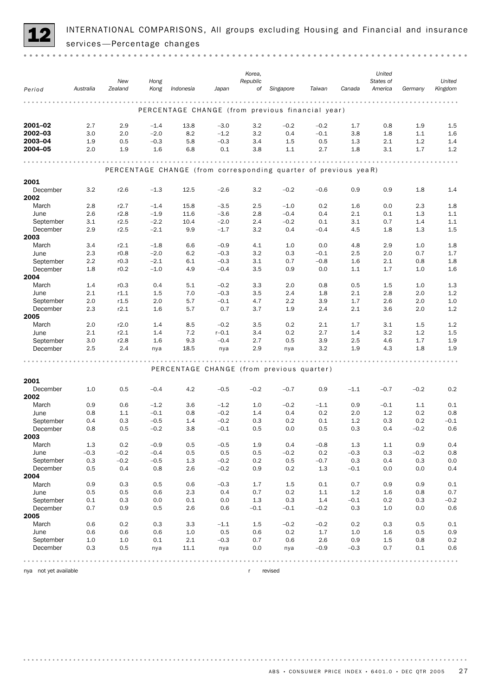

INTERNATIONAL COMPARISONS, All groups excluding Housing and Financial and insurance services —Percentage changes

|                  |            | New     | Hong   |           |                                                                 | Korea,<br>Republic |           |         |        | United<br>States of |         | United  |
|------------------|------------|---------|--------|-----------|-----------------------------------------------------------------|--------------------|-----------|---------|--------|---------------------|---------|---------|
| Period           | Australia  | Zealand | Kong   | Indonesia | Japan                                                           | of                 | Singapore | Taiwan  | Canada | America             | Germany | Kingdom |
|                  |            |         |        |           | PERCENTAGE CHANGE (from previous financial year)                |                    |           |         |        |                     |         |         |
| 2001-02          | 2.7        | 2.9     | $-1.4$ | 13.8      | $-3.0$                                                          | 3.2                | $-0.2$    | $-0.2$  | 1.7    | 0.8                 | 1.9     | 1.5     |
| $2002 - 03$      | 3.0        | 2.0     | $-2.0$ | 8.2       | $-1.2$                                                          | 3.2                | 0.4       | $-0.1$  | 3.8    | 1.8                 | 1.1     | 1.6     |
| 2003-04          | 1.9        | 0.5     | $-0.3$ | 5.8       | $-0.3$                                                          | 3.4                | 1.5       | 0.5     | 1.3    | 2.1                 | 1.2     | 1.4     |
| 2004-05          | 2.0        | 1.9     | 1.6    | 6.8       | 0.1                                                             | 3.8                | 1.1       | 2.7     | 1.8    | 3.1                 | 1.7     | 1.2     |
|                  |            |         |        |           |                                                                 |                    |           |         |        |                     |         |         |
|                  |            |         |        |           | PERCENTAGE CHANGE (from corresponding quarter of previous yeaR) |                    |           |         |        |                     |         |         |
| 2001             |            |         |        |           |                                                                 |                    |           |         |        |                     |         |         |
| December<br>2002 | 3.2        | r2.6    | $-1.3$ | 12.5      | $-2.6$                                                          | 3.2                | $-0.2$    | $-0.6$  | 0.9    | 0.9                 | 1.8     | 1.4     |
| March            | 2.8        | r2.7    | $-1.4$ | 15.8      | $-3.5$                                                          | 2.5                | $-1.0$    | 0.2     | 1.6    | 0.0                 | 2.3     | 1.8     |
| June             | 2.6        | r2.8    | $-1.9$ | 11.6      | $-3.6$                                                          | 2.8                | $-0.4$    | 0.4     | 2.1    | 0.1                 | 1.3     | 1.1     |
| September        | 3.1        | r2.5    | $-2.2$ | 10.4      | $-2.0$                                                          | 2.4                | $-0.2$    | 0.1     | 3.1    | 0.7                 | 1.4     | 1.1     |
| December         | 2.9        | r2.5    | $-2.1$ | 9.9       | $-1.7$                                                          | 3.2                | 0.4       | $-0.4$  | 4.5    | 1.8                 | 1.3     | 1.5     |
| 2003             |            |         |        |           |                                                                 |                    |           |         |        |                     |         |         |
| March            | 3.4        | r2.1    | $-1.8$ | 6.6       | $-0.9$                                                          | 4.1                | 1.0       | 0.0     | 4.8    | 2.9                 | 1.0     | 1.8     |
| June             | 2.3        | r0.8    | $-2.0$ | 6.2       | $-0.3$                                                          | 3.2                | 0.3       | $-0.1$  | 2.5    | 2.0                 | 0.7     | 1.7     |
| September        | 2.2        | r0.3    | $-2.1$ | 6.1       | $-0.3$                                                          | 3.1                | 0.7       | $-0.8$  | 1.6    | 2.1                 | 0.8     | 1.8     |
| December         | 1.8        | r0.2    | $-1.0$ | 4.9       | $-0.4$                                                          | 3.5                | 0.9       | 0.0     | 1.1    | 1.7                 | 1.0     | 1.6     |
| 2004             |            |         |        |           |                                                                 |                    |           |         |        |                     |         |         |
| March            | 1.4        | r0.3    | 0.4    | 5.1       | $-0.2$                                                          | 3.3                | 2.0       | 0.8     | 0.5    | 1.5                 | 1.0     | 1.3     |
| June             | 2.1        | r1.1    | 1.5    | 7.0       | $-0.3$                                                          | 3.5                | 2.4       | 1.8     | 2.1    | 2.8                 | 2.0     | 1.2     |
| September        | 2.0        | r1.5    | 2.0    | 5.7       | $-0.1$                                                          | 4.7                | 2.2       | 3.9     | 1.7    | 2.6                 | 2.0     | 1.0     |
| December         | 2.3        | r2.1    | 1.6    | 5.7       | 0.7                                                             | 3.7                | 1.9       | 2.4     | 2.1    | 3.6                 | 2.0     | 1.2     |
| 2005             |            |         |        |           |                                                                 |                    |           |         |        |                     |         |         |
| March            | 2.0        | r2.0    | 1.4    | 8.5       | $-0.2$                                                          | 3.5                | 0.2       | 2.1     | 1.7    | 3.1                 | 1.5     | 1.2     |
| June             | 2.1        | r2.1    | 1.4    | 7.2       | $r - 0.1$                                                       | 3.4                | 0.2       | 2.7     | 1.4    | 3.2                 | 1.2     | 1.5     |
| September        | 3.0        | r2.8    | 1.6    | 9.3       | $-0.4$                                                          | 2.7                | 0.5       | 3.9     | 2.5    | 4.6                 | 1.7     | 1.9     |
| December         | 2.5        | 2.4     | nya    | 18.5      | nya                                                             | 2.9                | nya       | 3.2     | 1.9    | 4.3                 | 1.8     | 1.9     |
|                  |            |         |        |           | PERCENTAGE CHANGE (from previous quarter)                       |                    |           |         |        |                     |         |         |
| 2001             |            |         |        |           |                                                                 |                    |           |         |        |                     |         |         |
| December         | 1.0        | 0.5     | $-0.4$ | 4.2       | $-0.5$                                                          | $-0.2$             | $-0.7$    | 0.9     | $-1.1$ | $-0.7$              | $-0.2$  | 0.2     |
| 2002             |            |         |        |           |                                                                 |                    |           |         |        |                     |         |         |
| March            | 0.9        | 0.6     | $-1.2$ | 3.6       | $-1.2$                                                          | 1.0                | $-0.2$    | $-1.1$  | 0.9    | $-0.1$              | 1.1     | 0.1     |
| June             | 0.8        | 1.1     | $-0.1$ | 0.8       | $-0.2$                                                          | 1.4                | 0.4       | 0.2     | 2.0    | 1.2                 | 0.2     | 0.8     |
| September        | 0.4        | 0.3     | $-0.5$ | 1.4       | $-0.2$                                                          | 0.3                | 0.2       | 0.1     | 1.2    | 0.3                 | 0.2     | $-0.1$  |
| December         | 0.8        | 0.5     | $-0.2$ | 3.8       | $-0.1$                                                          | 0.5                | 0.0       | 0.5     | 0.3    | 0.4                 | $-0.2$  | 0.6     |
| 2003             |            |         |        |           |                                                                 |                    |           |         |        |                     |         |         |
| March            | 1.3        | 0.2     | $-0.9$ | 0.5       | $-0.5$                                                          | 1.9                | 0.4       | $-0.8$  | 1.3    | $1.1\,$             | 0.9     | 0.4     |
| June             | $-0.3$     | $-0.2$  | $-0.4$ | 0.5       | 0.5                                                             | 0.5                | $-0.2$    | $0.2\,$ | $-0.3$ | 0.3                 | $-0.2$  | 0.8     |
| September        | 0.3        | $-0.2$  | $-0.5$ | 1.3       | $-0.2$                                                          | 0.2                | 0.5       | $-0.7$  | 0.3    | 0.4                 | 0.3     | 0.0     |
| December         | 0.5        | 0.4     | 0.8    | 2.6       | $-0.2$                                                          | 0.9                | 0.2       | 1.3     | $-0.1$ | 0.0                 | 0.0     | 0.4     |
| 2004             |            |         |        |           |                                                                 |                    |           |         |        |                     |         |         |
| March            | 0.9        | 0.3     | 0.5    | 0.6       | $-0.3$                                                          | 1.7                | 1.5       | 0.1     | 0.7    | 0.9                 | 0.9     | 0.1     |
| June             | 0.5        | 0.5     | 0.6    | 2.3       | 0.4                                                             | 0.7                | 0.2       | 1.1     | 1.2    | 1.6                 | 0.8     | 0.7     |
| September        | 0.1        | 0.3     | 0.0    | 0.1       | 0.0                                                             | 1.3                | 0.3       | 1.4     | $-0.1$ | 0.2                 | 0.3     | $-0.2$  |
| December         | 0.7        | 0.9     | 0.5    | 2.6       | 0.6                                                             | $-0.1$             | $-0.1$    | $-0.2$  | 0.3    | $1.0$               | 0.0     | 0.6     |
| 2005             |            | 0.2     | 0.3    | 3.3       |                                                                 |                    | $-0.2$    | $-0.2$  | 0.2    | 0.3                 | 0.5     | 0.1     |
| March<br>June    | 0.6<br>0.6 | 0.6     | 0.6    | $1.0\,$   | $-1.1$<br>0.5                                                   | 1.5<br>0.6         | 0.2       | 1.7     | 1.0    | 1.6                 | 0.5     | 0.9     |
| September        | 1.0        | $1.0\,$ | 0.1    | 2.1       | $-0.3$                                                          | 0.7                | 0.6       | 2.6     | 0.9    | 1.5                 | 0.8     | 0.2     |
| December         | 0.3        | 0.5     | nya    | 11.1      | nya                                                             | 0.0                | nya       | $-0.9$  | $-0.3$ | 0.7                 | 0.1     | 0.6     |
|                  |            |         |        |           |                                                                 |                    |           |         |        |                     |         |         |
|                  |            |         |        |           |                                                                 |                    |           |         |        |                     |         |         |

nya not yet available r revised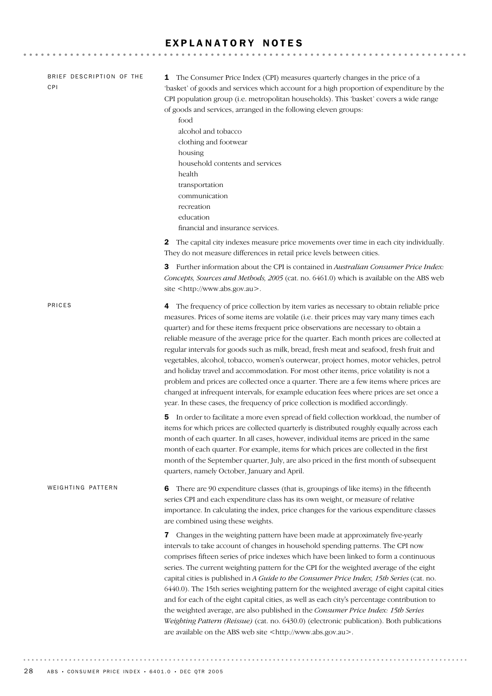### EXPLANATORY NOTES

| BRIEF DESCRIPTION OF THE<br>CPI | The Consumer Price Index (CPI) measures quarterly changes in the price of a<br>1<br>'basket' of goods and services which account for a high proportion of expenditure by the<br>CPI population group (i.e. metropolitan households). This 'basket' covers a wide range<br>of goods and services, arranged in the following eleven groups:<br>food<br>alcohol and tobacco<br>clothing and footwear<br>housing<br>household contents and services<br>health<br>transportation<br>communication<br>recreation<br>education<br>financial and insurance services.                                                                                                                                                                                                                                                                                                                                                                    |
|---------------------------------|---------------------------------------------------------------------------------------------------------------------------------------------------------------------------------------------------------------------------------------------------------------------------------------------------------------------------------------------------------------------------------------------------------------------------------------------------------------------------------------------------------------------------------------------------------------------------------------------------------------------------------------------------------------------------------------------------------------------------------------------------------------------------------------------------------------------------------------------------------------------------------------------------------------------------------|
|                                 | 2 The capital city indexes measure price movements over time in each city individually.<br>They do not measure differences in retail price levels between cities.<br><b>3</b> Further information about the CPI is contained in Australian Consumer Price Index:                                                                                                                                                                                                                                                                                                                                                                                                                                                                                                                                                                                                                                                                |
|                                 | Concepts, Sources and Methods, 2005 (cat. no. 6461.0) which is available on the ABS web<br>site <http: www.abs.gov.au="">.</http:>                                                                                                                                                                                                                                                                                                                                                                                                                                                                                                                                                                                                                                                                                                                                                                                              |
| PRICES                          | 4 The frequency of price collection by item varies as necessary to obtain reliable price<br>measures. Prices of some items are volatile (i.e. their prices may vary many times each<br>quarter) and for these items frequent price observations are necessary to obtain a<br>reliable measure of the average price for the quarter. Each month prices are collected at<br>regular intervals for goods such as milk, bread, fresh meat and seafood, fresh fruit and<br>vegetables, alcohol, tobacco, women's outerwear, project homes, motor vehicles, petrol<br>and holiday travel and accommodation. For most other items, price volatility is not a<br>problem and prices are collected once a quarter. There are a few items where prices are<br>changed at infrequent intervals, for example education fees where prices are set once a<br>year. In these cases, the frequency of price collection is modified accordingly. |
|                                 | In order to facilitate a more even spread of field collection workload, the number of<br>5<br>items for which prices are collected quarterly is distributed roughly equally across each<br>month of each quarter. In all cases, however, individual items are priced in the same<br>month of each quarter. For example, items for which prices are collected in the first<br>month of the September quarter, July, are also priced in the first month of subsequent<br>quarters, namely October, January and April.                                                                                                                                                                                                                                                                                                                                                                                                             |
| WEIGHTING PATTERN               | There are 90 expenditure classes (that is, groupings of like items) in the fifteenth<br>6<br>series CPI and each expenditure class has its own weight, or measure of relative<br>importance. In calculating the index, price changes for the various expenditure classes<br>are combined using these weights.                                                                                                                                                                                                                                                                                                                                                                                                                                                                                                                                                                                                                   |
|                                 | Changes in the weighting pattern have been made at approximately five-yearly<br>7<br>intervals to take account of changes in household spending patterns. The CPI now<br>comprises fifteen series of price indexes which have been linked to form a continuous<br>series. The current weighting pattern for the CPI for the weighted average of the eight<br>capital cities is published in A Guide to the Consumer Price Index, 15th Series (cat. no.<br>6440.0). The 15th series weighting pattern for the weighted average of eight capital cities<br>and for each of the eight capital cities, as well as each city's percentage contribution to<br>the weighted average, are also published in the Consumer Price Index: 15th Series<br>Weighting Pattern (Reissue) (cat. no. 6430.0) (electronic publication). Both publications<br>are available on the ABS web site <http: www.abs.gov.au="">.</http:>                  |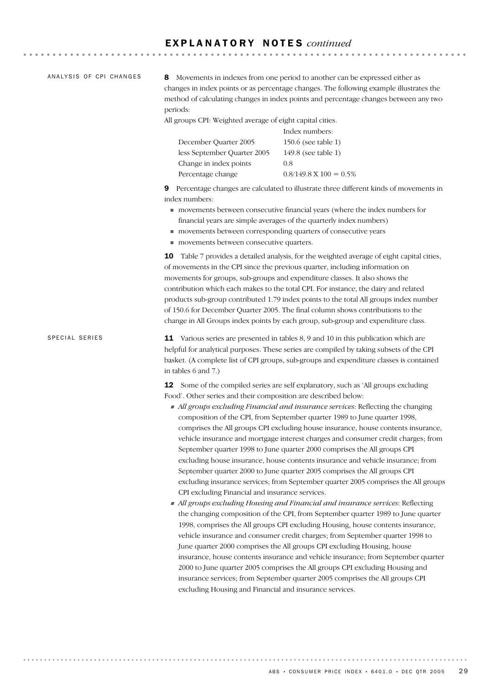#### E X P L A N A T O R Y N O T E S *continued*

ANALYSIS OF CPI CHANGES

8 Movements in indexes from one period to another can be expressed either as changes in index points or as percentage changes. The following example illustrates the method of calculating changes in index points and percentage changes between any two periods:

All groups CPI: Weighted average of eight capital cities.

|                             | Index numbers:                     |
|-----------------------------|------------------------------------|
| December Quarter 2005       | 150.6 (see table 1)                |
| less September Quarter 2005 | 149.8 (see table 1)                |
| Change in index points      | 0.8                                |
| Percentage change           | $0.8/149.8 \text{ X } 100 = 0.5\%$ |

9 Percentage changes are calculated to illustrate three different kinds of movements in index numbers:

- ! movements between consecutive financial years (where the index numbers for financial years are simple averages of the quarterly index numbers)
- ! movements between corresponding quarters of consecutive years
- $\blacksquare$  movements between consecutive quarters.

10 Table 7 provides a detailed analysis, for the weighted average of eight capital cities, of movements in the CPI since the previous quarter, including information on movements for groups, sub-groups and expenditure classes. It also shows the contribution which each makes to the total CPI. For instance, the dairy and related products sub-group contributed 1.79 index points to the total All groups index number of 150.6 for December Quarter 2005. The final column shows contributions to the change in All Groups index points by each group, sub-group and expenditure class.

11 Various series are presented in tables 8, 9 and 10 in this publication which are helpful for analytical purposes. These series are compiled by taking subsets of the CPI basket. (A complete list of CPI groups, sub-groups and expenditure classes is contained in tables 6 and 7.) SPECIAL SERIES

> 12 Some of the compiled series are self explanatory, such as 'All groups excluding Food'. Other series and their composition are described below:

- ! *All groups excluding Financial and insurance services*: Reflecting the changing composition of the CPI, from September quarter 1989 to June quarter 1998, comprises the All groups CPI excluding house insurance, house contents insurance, vehicle insurance and mortgage interest charges and consumer credit charges; from September quarter 1998 to June quarter 2000 comprises the All groups CPI excluding house insurance, house contents insurance and vehicle insurance; from September quarter 2000 to June quarter 2005 comprises the All groups CPI excluding insurance services; from September quarter 2005 comprises the All groups CPI excluding Financial and insurance services.
- ! *All groups excluding Housing and Financial and insurance services*: Reflecting the changing composition of the CPI, from September quarter 1989 to June quarter 1998, comprises the All groups CPI excluding Housing, house contents insurance, vehicle insurance and consumer credit charges; from September quarter 1998 to June quarter 2000 comprises the All groups CPI excluding Housing, house insurance, house contents insurance and vehicle insurance; from September quarter 2000 to June quarter 2005 comprises the All groups CPI excluding Housing and insurance services; from September quarter 2005 comprises the All groups CPI excluding Housing and Financial and insurance services.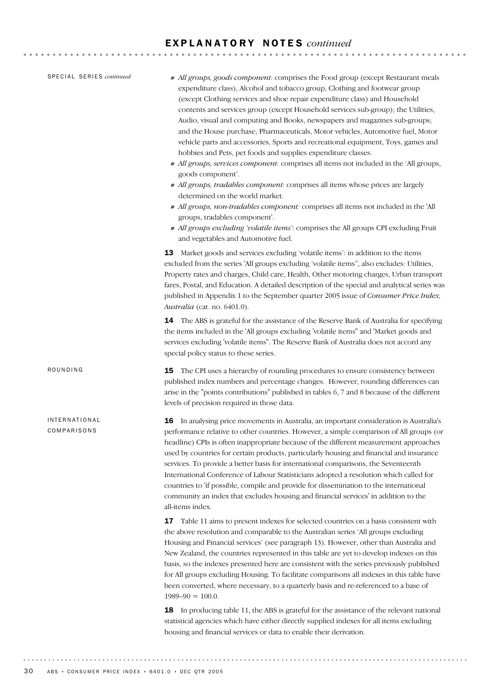### E X P L A N A T O R Y N O T E S *continued*

| SPECIAL SERIES continued     | All groups, goods component: comprises the Food group (except Restaurant meals<br>expenditure class), Alcohol and tobacco group, Clothing and footwear group<br>(except Clothing services and shoe repair expenditure class) and Household<br>contents and services group (except Household services sub-group); the Utilities,<br>Audio, visual and computing and Books, newspapers and magazines sub-groups;<br>and the House purchase, Pharmaceuticals, Motor vehicles, Automotive fuel, Motor<br>vehicle parts and accessories, Sports and recreational equipment, Toys, games and<br>hobbies and Pets, pet foods and supplies expenditure classes.<br>All groups, services component: comprises all items not included in the 'All groups,<br>goods component'.<br>All groups, tradables component: comprises all items whose prices are largely<br>determined on the world market.<br>All groups, non-tradables component: comprises all items not included in the 'All<br>groups, tradables component'.<br>All groups excluding 'volatile items': comprises the All groups CPI excluding Fruit<br>and vegetables and Automotive fuel.<br><b>13</b> Market goods and services excluding 'volatile items': in addition to the items<br>excluded from the series 'All groups excluding 'volatile items'', also excludes: Utilities,<br>Property rates and charges, Child care, Health, Other motoring charges, Urban transport<br>fares, Postal, and Education. A detailed description of the special and analytical series was<br>published in Appendix 1 to the September quarter 2005 issue of Consumer Price Index,<br>Australia (cat. no. 6401.0).<br>14 The ABS is grateful for the assistance of the Reserve Bank of Australia for specifying<br>the items included in the 'All groups excluding 'volatile items" and 'Market goods and<br>services excluding 'volatile items". The Reserve Bank of Australia does not accord any<br>special policy status to these series. |
|------------------------------|----------------------------------------------------------------------------------------------------------------------------------------------------------------------------------------------------------------------------------------------------------------------------------------------------------------------------------------------------------------------------------------------------------------------------------------------------------------------------------------------------------------------------------------------------------------------------------------------------------------------------------------------------------------------------------------------------------------------------------------------------------------------------------------------------------------------------------------------------------------------------------------------------------------------------------------------------------------------------------------------------------------------------------------------------------------------------------------------------------------------------------------------------------------------------------------------------------------------------------------------------------------------------------------------------------------------------------------------------------------------------------------------------------------------------------------------------------------------------------------------------------------------------------------------------------------------------------------------------------------------------------------------------------------------------------------------------------------------------------------------------------------------------------------------------------------------------------------------------------------------------------------------------------------------------------------------------------------------------------------|
| ROUNDING                     | The CPI uses a hierarchy of rounding procedures to ensure consistency between<br>15<br>published index numbers and percentage changes. However, rounding differences can<br>arise in the "points contributions" published in tables 6, 7 and 8 because of the different<br>levels of precision required in those data.                                                                                                                                                                                                                                                                                                                                                                                                                                                                                                                                                                                                                                                                                                                                                                                                                                                                                                                                                                                                                                                                                                                                                                                                                                                                                                                                                                                                                                                                                                                                                                                                                                                                 |
| INTERNATIONAL<br>COMPARISONS | In analysing price movements in Australia, an important consideration is Australia's<br>16<br>performance relative to other countries. However, a simple comparison of All groups (or<br>headline) CPIs is often inappropriate because of the different measurement approaches<br>used by countries for certain products, particularly housing and financial and insurance<br>services. To provide a better basis for international comparisons, the Seventeenth<br>International Conference of Labour Statisticians adopted a resolution which called for<br>countries to 'if possible, compile and provide for dissemination to the international<br>community an index that excludes housing and financial services' in addition to the<br>all-items index.<br>17 Table 11 aims to present indexes for selected countries on a basis consistent with<br>the above resolution and comparable to the Australian series 'All groups excluding<br>Housing and Financial services' (see paragraph 13). However, other than Australia and<br>New Zealand, the countries represented in this table are yet to develop indexes on this<br>basis, so the indexes presented here are consistent with the series previously published<br>for All groups excluding Housing. To facilitate comparisons all indexes in this table have<br>been converted, where necessary, to a quarterly basis and re-referenced to a base of<br>$1989 - 90 = 100.0$ .<br>In producing table 11, the ABS is grateful for the assistance of the relevant national<br>18<br>statistical agencies which have either directly supplied indexes for all items excluding<br>housing and financial services or data to enable their derivation.                                                                                                                                                                                                                                                                         |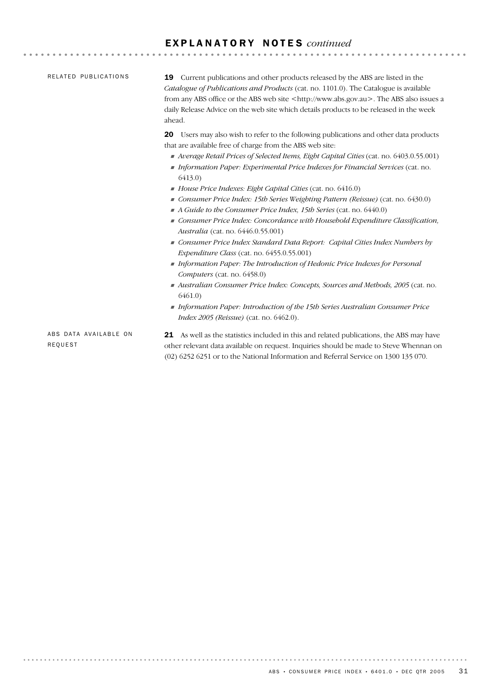## E X P L A N A T O R Y N O T E S *continued*

| RELATED PUBLICATIONS             | 19 Current publications and other products released by the ABS are listed in the<br>Catalogue of Publications and Products (cat. no. 1101.0). The Catalogue is available<br>from any ABS office or the ABS web site <http: www.abs.gov.au="">. The ABS also issues a<br/>daily Release Advice on the web site which details products to be released in the week<br/>ahead.</http:> |
|----------------------------------|------------------------------------------------------------------------------------------------------------------------------------------------------------------------------------------------------------------------------------------------------------------------------------------------------------------------------------------------------------------------------------|
|                                  | <b>20</b> Users may also wish to refer to the following publications and other data products<br>that are available free of charge from the ABS web site:<br>Average Retail Prices of Selected Items, Eight Capital Cities (cat. no. 6403.0.55.001)<br>Information Paper: Experimental Price Indexes for Financial Services (cat. no.                                               |
|                                  | 6413.0<br>$\blacksquare$ House Price Indexes: Eight Capital Cities (cat. no. 6416.0)<br>• Consumer Price Index: 15th Series Weighting Pattern (Reissue) (cat. no. $6430.0$ )<br>A Guide to the Consumer Price Index, 15th Series (cat. no. 6440.0)<br>Consumer Price Index: Concordance with Household Expenditure Classification,<br>Australia (cat. no. 6446.0.55.001)           |
|                                  | Consumer Price Index Standard Data Report: Capital Cities Index Numbers by<br><i>Expenditure Class (cat. no.</i> $6455.0.55.001$ )<br>Information Paper: The Introduction of Hedonic Price Indexes for Personal<br>Computers (cat. no. 6458.0)                                                                                                                                     |
|                                  | Australian Consumer Price Index: Concepts, Sources and Methods, 2005 (cat. no.<br>6461.0<br>Information Paper: Introduction of the 15th Series Australian Consumer Price<br><i>Index 2005 (Reissue)</i> (cat. no. 6462.0).                                                                                                                                                         |
| ABS DATA AVAILABLE ON<br>REQUEST | <b>21</b> As well as the statistics included in this and related publications, the ABS may have<br>other relevant data available on request. Inquiries should be made to Steve Whennan on<br>(02) 6252 6251 or to the National Information and Referral Service on 1300 135 070.                                                                                                   |